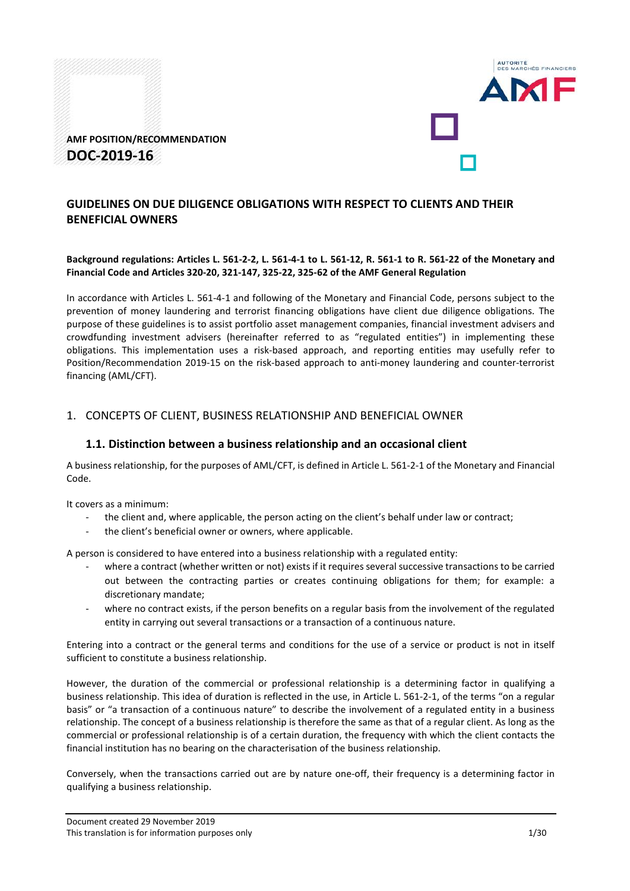



# **GUIDELINES ON DUE DILIGENCE OBLIGATIONS WITH RESPECT TO CLIENTS AND THEIR BENEFICIAL OWNERS**

## **Background regulations: Articles L. 561-2-2, L. 561-4-1 to L. 561-12, R. 561-1 to R. 561-22 of the Monetary and Financial Code and Articles 320-20, 321-147, 325-22, 325-62 of the AMF General Regulation**

In accordance with Articles L. 561-4-1 and following of the Monetary and Financial Code, persons subject to the prevention of money laundering and terrorist financing obligations have client due diligence obligations. The purpose of these guidelines is to assist portfolio asset management companies, financial investment advisers and crowdfunding investment advisers (hereinafter referred to as "regulated entities") in implementing these obligations. This implementation uses a risk-based approach, and reporting entities may usefully refer to Position/Recommendation 2019-15 on the risk-based approach to anti-money laundering and counter-terrorist financing (AML/CFT).

## 1. CONCEPTS OF CLIENT, BUSINESS RELATIONSHIP AND BENEFICIAL OWNER

## **1.1. Distinction between a business relationship and an occasional client**

A business relationship, for the purposes of AML/CFT, is defined in Article L. 561-2-1 of the Monetary and Financial Code.

It covers as a minimum:

- the client and, where applicable, the person acting on the client's behalf under law or contract;
- the client's beneficial owner or owners, where applicable.

A person is considered to have entered into a business relationship with a regulated entity:

- where a contract (whether written or not) exists if it requires several successive transactions to be carried out between the contracting parties or creates continuing obligations for them; for example: a discretionary mandate;
- where no contract exists, if the person benefits on a regular basis from the involvement of the regulated entity in carrying out several transactions or a transaction of a continuous nature.

Entering into a contract or the general terms and conditions for the use of a service or product is not in itself sufficient to constitute a business relationship.

However, the duration of the commercial or professional relationship is a determining factor in qualifying a business relationship. This idea of duration is reflected in the use, in Article L. 561-2-1, of the terms "on a regular basis" or "a transaction of a continuous nature" to describe the involvement of a regulated entity in a business relationship. The concept of a business relationship is therefore the same as that of a regular client. As long as the commercial or professional relationship is of a certain duration, the frequency with which the client contacts the financial institution has no bearing on the characterisation of the business relationship.

Conversely, when the transactions carried out are by nature one-off, their frequency is a determining factor in qualifying a business relationship.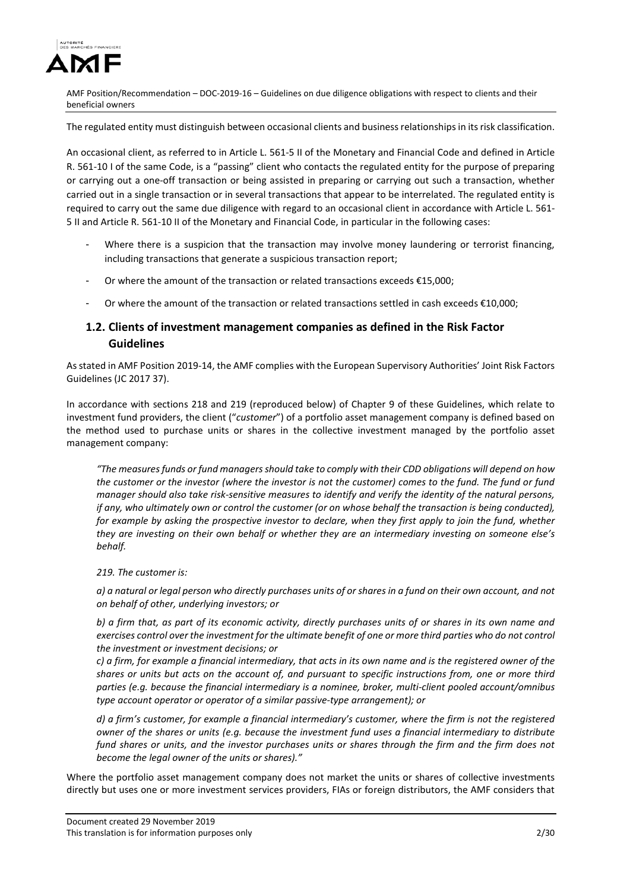

The regulated entity must distinguish between occasional clients and business relationships in its risk classification.

An occasional client, as referred to in Article L. 561-5 II of the Monetary and Financial Code and defined in Article R. 561-10 I of the same Code, is a "passing" client who contacts the regulated entity for the purpose of preparing or carrying out a one-off transaction or being assisted in preparing or carrying out such a transaction, whether carried out in a single transaction or in several transactions that appear to be interrelated. The regulated entity is required to carry out the same due diligence with regard to an occasional client in accordance with Article L. 561- 5 II and Article R. 561-10 II of the Monetary and Financial Code, in particular in the following cases:

- Where there is a suspicion that the transaction may involve money laundering or terrorist financing, including transactions that generate a suspicious transaction report;
- Or where the amount of the transaction or related transactions exceeds  $£15,000;$
- Or where the amount of the transaction or related transactions settled in cash exceeds €10,000;

# **1.2. Clients of investment management companies as defined in the Risk Factor Guidelines**

As stated in AMF Position 2019-14, the AMF complies with the European Supervisory Authorities' Joint Risk Factors Guidelines (JC 2017 37).

In accordance with sections 218 and 219 (reproduced below) of Chapter 9 of these Guidelines, which relate to investment fund providers, the client ("*customer*") of a portfolio asset management company is defined based on the method used to purchase units or shares in the collective investment managed by the portfolio asset management company:

*"The measures funds or fund managers should take to comply with their CDD obligations will depend on how the customer or the investor (where the investor is not the customer) comes to the fund. The fund or fund manager should also take risk-sensitive measures to identify and verify the identity of the natural persons, if any, who ultimately own or control the customer (or on whose behalf the transaction is being conducted), for example by asking the prospective investor to declare, when they first apply to join the fund, whether they are investing on their own behalf or whether they are an intermediary investing on someone else's behalf.* 

### *219. The customer is:*

*a) a natural or legal person who directly purchases units of or shares in a fund on their own account, and not on behalf of other, underlying investors; or* 

*b) a firm that, as part of its economic activity, directly purchases units of or shares in its own name and*  exercises control over the investment for the ultimate benefit of one or more third parties who do not control *the investment or investment decisions; or* 

*c) a firm, for example a financial intermediary, that acts in its own name and is the registered owner of the shares or units but acts on the account of, and pursuant to specific instructions from, one or more third parties (e.g. because the financial intermediary is a nominee, broker, multi-client pooled account/omnibus type account operator or operator of a similar passive-type arrangement); or* 

*d) a firm's customer, for example a financial intermediary's customer, where the firm is not the registered owner of the shares or units (e.g. because the investment fund uses a financial intermediary to distribute fund shares or units, and the investor purchases units or shares through the firm and the firm does not become the legal owner of the units or shares)."* 

Where the portfolio asset management company does not market the units or shares of collective investments directly but uses one or more investment services providers, FIAs or foreign distributors, the AMF considers that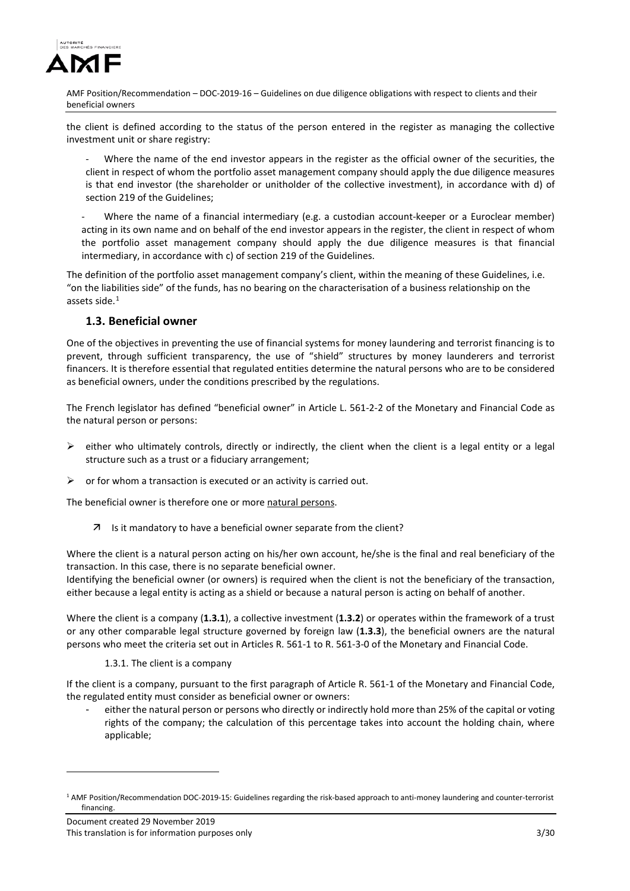

the client is defined according to the status of the person entered in the register as managing the collective investment unit or share registry:

Where the name of the end investor appears in the register as the official owner of the securities, the client in respect of whom the portfolio asset management company should apply the due diligence measures is that end investor (the shareholder or unitholder of the collective investment), in accordance with d) of section 219 of the Guidelines;

Where the name of a financial intermediary (e.g. a custodian account-keeper or a Euroclear member) acting in its own name and on behalf of the end investor appears in the register, the client in respect of whom the portfolio asset management company should apply the due diligence measures is that financial intermediary, in accordance with c) of section 219 of the Guidelines.

The definition of the portfolio asset management company's client, within the meaning of these Guidelines, i.e. "on the liabilities side" of the funds, has no bearing on the characterisation of a business relationship on the assets side. $1$ 

## **1.3. Beneficial owner**

One of the objectives in preventing the use of financial systems for money laundering and terrorist financing is to prevent, through sufficient transparency, the use of "shield" structures by money launderers and terrorist financers. It is therefore essential that regulated entities determine the natural persons who are to be considered as beneficial owners, under the conditions prescribed by the regulations.

The French legislator has defined "beneficial owner" in Article L. 561-2-2 of the Monetary and Financial Code as the natural person or persons:

- $\triangleright$  either who ultimately controls, directly or indirectly, the client when the client is a legal entity or a legal structure such as a trust or a fiduciary arrangement;
- $\triangleright$  or for whom a transaction is executed or an activity is carried out.

The beneficial owner is therefore one or more natural persons.

 $\overline{z}$  Is it mandatory to have a beneficial owner separate from the client?

Where the client is a natural person acting on his/her own account, he/she is the final and real beneficiary of the transaction. In this case, there is no separate beneficial owner.

Identifying the beneficial owner (or owners) is required when the client is not the beneficiary of the transaction, either because a legal entity is acting as a shield or because a natural person is acting on behalf of another.

Where the client is a company (**1.3.1**), a collective investment (**1.3.2**) or operates within the framework of a trust or any other comparable legal structure governed by foreign law (**1.3.3**), the beneficial owners are the natural persons who meet the criteria set out in Articles R. 561-1 to R. 561-3-0 of the Monetary and Financial Code.

### 1.3.1. The client is a company

If the client is a company, pursuant to the first paragraph of Article R. 561-1 of the Monetary and Financial Code, the regulated entity must consider as beneficial owner or owners:

either the natural person or persons who directly or indirectly hold more than 25% of the capital or voting rights of the company; the calculation of this percentage takes into account the holding chain, where applicable;

<span id="page-2-0"></span><sup>1</sup> AMF Position/Recommendation DOC-2019-15: Guidelines regarding the risk-based approach to anti-money laundering and counter-terrorist financing.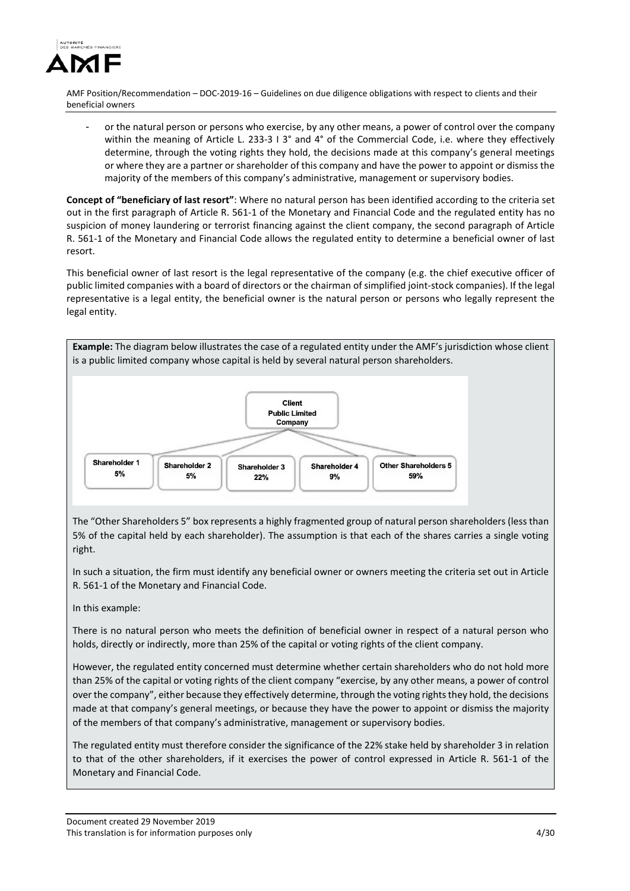

or the natural person or persons who exercise, by any other means, a power of control over the company within the meaning of Article L. 233-3 I 3° and 4° of the Commercial Code, i.e. where they effectively determine, through the voting rights they hold, the decisions made at this company's general meetings or where they are a partner or shareholder of this company and have the power to appoint or dismiss the majority of the members of this company's administrative, management or supervisory bodies.

**Concept of "beneficiary of last resort"**: Where no natural person has been identified according to the criteria set out in the first paragraph of Article R. 561-1 of the Monetary and Financial Code and the regulated entity has no suspicion of money laundering or terrorist financing against the client company, the second paragraph of Article R. 561-1 of the Monetary and Financial Code allows the regulated entity to determine a beneficial owner of last resort.

This beneficial owner of last resort is the legal representative of the company (e.g. the chief executive officer of public limited companies with a board of directors or the chairman of simplified joint-stock companies). If the legal representative is a legal entity, the beneficial owner is the natural person or persons who legally represent the legal entity.



The "Other Shareholders 5" box represents a highly fragmented group of natural person shareholders (less than 5% of the capital held by each shareholder). The assumption is that each of the shares carries a single voting right.

In such a situation, the firm must identify any beneficial owner or owners meeting the criteria set out in Article R. 561-1 of the Monetary and Financial Code.

In this example:

There is no natural person who meets the definition of beneficial owner in respect of a natural person who holds, directly or indirectly, more than 25% of the capital or voting rights of the client company.

However, the regulated entity concerned must determine whether certain shareholders who do not hold more than 25% of the capital or voting rights of the client company "exercise, by any other means, a power of control over the company", either because they effectively determine, through the voting rights they hold, the decisions made at that company's general meetings, or because they have the power to appoint or dismiss the majority of the members of that company's administrative, management or supervisory bodies.

The regulated entity must therefore consider the significance of the 22% stake held by shareholder 3 in relation to that of the other shareholders, if it exercises the power of control expressed in Article R. 561-1 of the Monetary and Financial Code.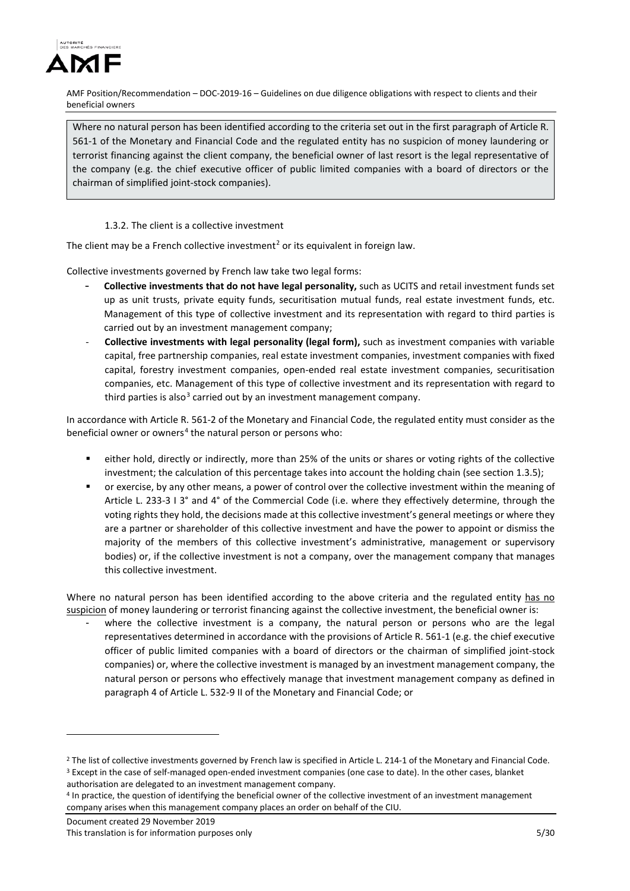

Where no natural person has been identified according to the criteria set out in the first paragraph of Article R. 561-1 of the Monetary and Financial Code and the regulated entity has no suspicion of money laundering or terrorist financing against the client company, the beneficial owner of last resort is the legal representative of the company (e.g. the chief executive officer of public limited companies with a board of directors or the chairman of simplified joint-stock companies).

1.3.2. The client is a collective investment

The client may be a French collective investment<sup>[2](#page-4-0)</sup> or its equivalent in foreign law.

Collective investments governed by French law take two legal forms:

- **Collective investments that do not have legal personality,** such as UCITS and retail investment funds set up as unit trusts, private equity funds, securitisation mutual funds, real estate investment funds, etc. Management of this type of collective investment and its representation with regard to third parties is carried out by an investment management company;
- **Collective investments with legal personality (legal form),** such as investment companies with variable capital, free partnership companies, real estate investment companies, investment companies with fixed capital, forestry investment companies, open-ended real estate investment companies, securitisation companies, etc. Management of this type of collective investment and its representation with regard to third parties is also<sup>[3](#page-4-1)</sup> carried out by an investment management company.

In accordance with Article R. 561-2 of the Monetary and Financial Code, the regulated entity must consider as the beneficial owner or owners<sup>[4](#page-4-2)</sup> the natural person or persons who:

- either hold, directly or indirectly, more than 25% of the units or shares or voting rights of the collective investment; the calculation of this percentage takes into account the holding chain (see section 1.3.5);
- or exercise, by any other means, a power of control over the collective investment within the meaning of Article L. 233-3 I 3° and 4° of the Commercial Code (i.e. where they effectively determine, through the voting rights they hold, the decisions made at this collective investment's general meetings or where they are a partner or shareholder of this collective investment and have the power to appoint or dismiss the majority of the members of this collective investment's administrative, management or supervisory bodies) or, if the collective investment is not a company, over the management company that manages this collective investment.

Where no natural person has been identified according to the above criteria and the regulated entity has no suspicion of money laundering or terrorist financing against the collective investment, the beneficial owner is:

where the collective investment is a company, the natural person or persons who are the legal representatives determined in accordance with the provisions of Article R. 561-1 (e.g. the chief executive officer of public limited companies with a board of directors or the chairman of simplified joint-stock companies) or, where the collective investment is managed by an investment management company, the natural person or persons who effectively manage that investment management company as defined in paragraph 4 of Article L. 532-9 II of the Monetary and Financial Code; or

<span id="page-4-1"></span><span id="page-4-0"></span> $^2$  The list of collective investments governed by French law is specified in Article L. 214-1 of the Monetary and Financial Code.<br><sup>3</sup> Except in the case of self-managed open-ended investment companies (one case to date) authorisation are delegated to an investment management company.

<span id="page-4-2"></span><sup>4</sup> In practice, the question of identifying the beneficial owner of the collective investment of an investment management company arises when this management company places an order on behalf of the CIU.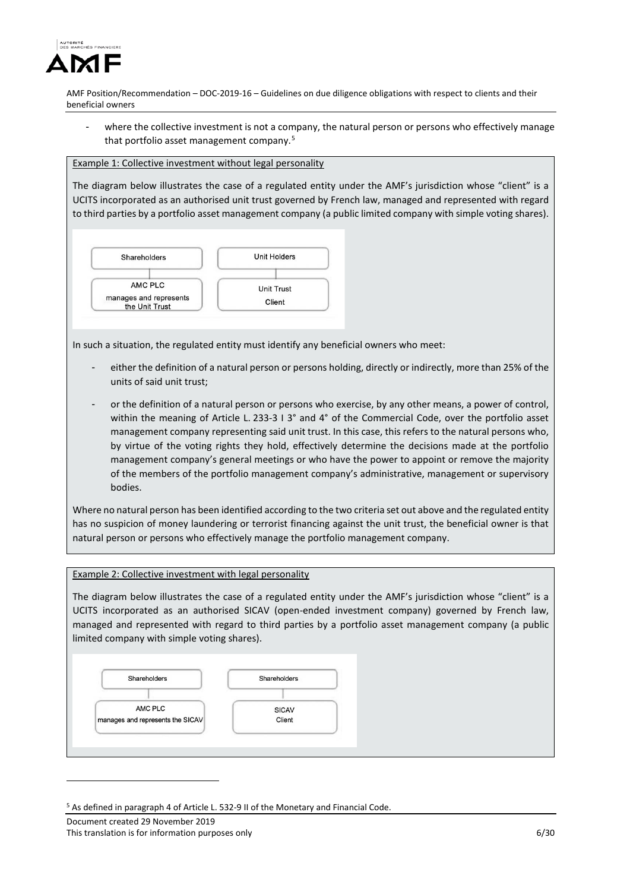

where the collective investment is not a company, the natural person or persons who effectively manage that portfolio asset management company.[5](#page-5-0)

#### Example 1: Collective investment without legal personality

The diagram below illustrates the case of a regulated entity under the AMF's jurisdiction whose "client" is a UCITS incorporated as an authorised unit trust governed by French law, managed and represented with regard to third parties by a portfolio asset management company (a public limited company with simple voting shares).



In such a situation, the regulated entity must identify any beneficial owners who meet:

- either the definition of a natural person or persons holding, directly or indirectly, more than 25% of the units of said unit trust;
- or the definition of a natural person or persons who exercise, by any other means, a power of control, within the meaning of Article L. 233-3 I 3° and 4° of the Commercial Code, over the portfolio asset management company representing said unit trust. In this case, this refers to the natural persons who, by virtue of the voting rights they hold, effectively determine the decisions made at the portfolio management company's general meetings or who have the power to appoint or remove the majority of the members of the portfolio management company's administrative, management or supervisory bodies.

Where no natural person has been identified according to the two criteria set out above and the regulated entity has no suspicion of money laundering or terrorist financing against the unit trust, the beneficial owner is that natural person or persons who effectively manage the portfolio management company.

## Example 2: Collective investment with legal personality

The diagram below illustrates the case of a regulated entity under the AMF's jurisdiction whose "client" is a UCITS incorporated as an authorised SICAV (open-ended investment company) governed by French law, managed and represented with regard to third parties by a portfolio asset management company (a public limited company with simple voting shares).



<span id="page-5-0"></span><sup>5</sup> As defined in paragraph 4 of Article L. 532-9 II of the Monetary and Financial Code.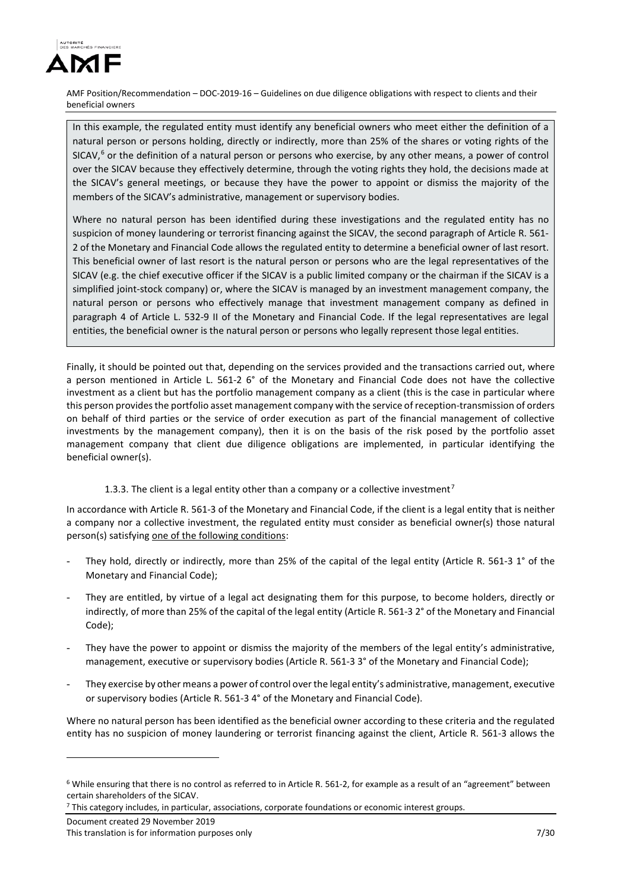

In this example, the regulated entity must identify any beneficial owners who meet either the definition of a natural person or persons holding, directly or indirectly, more than 25% of the shares or voting rights of the SICAV,<sup>[6](#page-6-0)</sup> or the definition of a natural person or persons who exercise, by any other means, a power of control over the SICAV because they effectively determine, through the voting rights they hold, the decisions made at the SICAV's general meetings, or because they have the power to appoint or dismiss the majority of the members of the SICAV's administrative, management or supervisory bodies.

Where no natural person has been identified during these investigations and the regulated entity has no suspicion of money laundering or terrorist financing against the SICAV, the second paragraph of Article R. 561- 2 of the Monetary and Financial Code allows the regulated entity to determine a beneficial owner of last resort. This beneficial owner of last resort is the natural person or persons who are the legal representatives of the SICAV (e.g. the chief executive officer if the SICAV is a public limited company or the chairman if the SICAV is a simplified joint-stock company) or, where the SICAV is managed by an investment management company, the natural person or persons who effectively manage that investment management company as defined in paragraph 4 of Article L. 532-9 II of the Monetary and Financial Code. If the legal representatives are legal entities, the beneficial owner is the natural person or persons who legally represent those legal entities.

Finally, it should be pointed out that, depending on the services provided and the transactions carried out, where a person mentioned in Article L. 561-2 6° of the Monetary and Financial Code does not have the collective investment as a client but has the portfolio management company as a client (this is the case in particular where this person provides the portfolio asset management company with the service of reception-transmission of orders on behalf of third parties or the service of order execution as part of the financial management of collective investments by the management company), then it is on the basis of the risk posed by the portfolio asset management company that client due diligence obligations are implemented, in particular identifying the beneficial owner(s).

## 1.3.3. The client is a legal entity other than a company or a collective investment<sup>[7](#page-6-1)</sup>

In accordance with Article R. 561-3 of the Monetary and Financial Code, if the client is a legal entity that is neither a company nor a collective investment, the regulated entity must consider as beneficial owner(s) those natural person(s) satisfying one of the following conditions:

- They hold, directly or indirectly, more than 25% of the capital of the legal entity (Article R. 561-3 1° of the Monetary and Financial Code);
- They are entitled, by virtue of a legal act designating them for this purpose, to become holders, directly or indirectly, of more than 25% of the capital of the legal entity (Article R. 561-3 2° of the Monetary and Financial Code);
- They have the power to appoint or dismiss the majority of the members of the legal entity's administrative, management, executive or supervisory bodies (Article R. 561-3 3° of the Monetary and Financial Code);
- They exercise by other means a power of control over the legal entity's administrative, management, executive or supervisory bodies (Article R. 561-3 4° of the Monetary and Financial Code).

Where no natural person has been identified as the beneficial owner according to these criteria and the regulated entity has no suspicion of money laundering or terrorist financing against the client, Article R. 561-3 allows the

<span id="page-6-0"></span><sup>6</sup> While ensuring that there is no control as referred to in Article R. 561-2, for example as a result of an "agreement" between certain shareholders of the SICAV.

<span id="page-6-1"></span><sup>7</sup> This category includes, in particular, associations, corporate foundations or economic interest groups.

Document created 29 November 2019 This translation is for information purposes only 7/30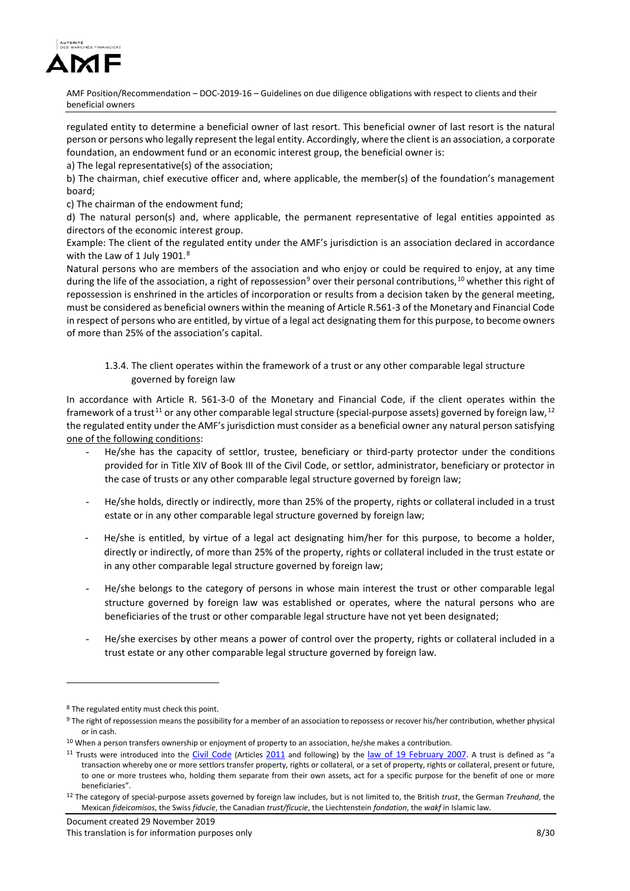

regulated entity to determine a beneficial owner of last resort. This beneficial owner of last resort is the natural person or persons who legally represent the legal entity. Accordingly, where the client is an association, a corporate foundation, an endowment fund or an economic interest group, the beneficial owner is:

a) The legal representative(s) of the association;

b) The chairman, chief executive officer and, where applicable, the member(s) of the foundation's management board;

c) The chairman of the endowment fund;

d) The natural person(s) and, where applicable, the permanent representative of legal entities appointed as directors of the economic interest group.

Example: The client of the regulated entity under the AMF's jurisdiction is an association declared in accordance with the Law of 1 July 1901.<sup>[8](#page-7-0)</sup>

Natural persons who are members of the association and who enjoy or could be required to enjoy, at any time during the life of the association, a right of repossession<sup>[9](#page-7-1)</sup> over their personal contributions,<sup>[10](#page-7-2)</sup> whether this right of repossession is enshrined in the articles of incorporation or results from a decision taken by the general meeting, must be considered as beneficial owners within the meaning of Article R.561-3 of the Monetary and Financial Code in respect of persons who are entitled, by virtue of a legal act designating them for this purpose, to become owners of more than 25% of the association's capital.

1.3.4. The client operates within the framework of a trust or any other comparable legal structure governed by foreign law

In accordance with Article R. 561-3-0 of the Monetary and Financial Code, if the client operates within the framework of a trust<sup>[11](#page-7-3)</sup> or any other comparable legal structure (special-purpose assets) governed by foreign law,<sup>[12](#page-7-4)</sup> the regulated entity under the AMF's jurisdiction must consider as a beneficial owner any natural person satisfying one of the following conditions:

- He/she has the capacity of settlor, trustee, beneficiary or third-party protector under the conditions provided for in Title XIV of Book III of the Civil Code, or settlor, administrator, beneficiary or protector in the case of trusts or any other comparable legal structure governed by foreign law;
- He/she holds, directly or indirectly, more than 25% of the property, rights or collateral included in a trust estate or in any other comparable legal structure governed by foreign law;
- He/she is entitled, by virtue of a legal act designating him/her for this purpose, to become a holder, directly or indirectly, of more than 25% of the property, rights or collateral included in the trust estate or in any other comparable legal structure governed by foreign law;
- He/she belongs to the category of persons in whose main interest the trust or other comparable legal structure governed by foreign law was established or operates, where the natural persons who are beneficiaries of the trust or other comparable legal structure have not yet been designated;
- He/she exercises by other means a power of control over the property, rights or collateral included in a trust estate or any other comparable legal structure governed by foreign law.

<u>.</u>

Document created 29 November 2019 This translation is for information purposes only **EXALL SERVICE SERVICE SERVICE SERVICE SERVICE SERVICE SERVICE S** 

<span id="page-7-0"></span><sup>8</sup> The regulated entity must check this point.

<span id="page-7-1"></span> $9$  The right of repossession means the possibility for a member of an association to repossess or recover his/her contribution, whether physical or in cash.

<span id="page-7-2"></span> $10$  When a person transfers ownership or enjoyment of property to an association, he/she makes a contribution.

<span id="page-7-3"></span><sup>&</sup>lt;sup>11</sup> Trusts were introduced into the [Civil Code](http://fr.wikipedia.org/wiki/Code_civil_fran%C3%A7ais) (Articles [2011](http://www.legifrance.gouv.fr/WAspad/UnArticleDeCode?code=CCIVILL0.rcv&art=2011) and following) by the [law of 19 February 2007.](http://www.legifrance.gouv.fr/WAspad/UnTexteDeJorf?numjo=JUSX0609640L) A trust is defined as "a transaction whereby one or more settlors transfer property, rights or collateral, or a set of property, rights or collateral, present or future, to one or more trustees who, holding them separate from their own assets, act for a specific purpose for the benefit of one or more beneficiaries".

<span id="page-7-4"></span><sup>12</sup> The category of special-purpose assets governed by foreign law includes, but is not limited to, the British *trust*, the German *Treuhand*, the Mexican *fideicomisos*, the Swiss *fiducie*, the Canadian *trust/ficucie*, the Liechtenstein *fondation*, the *wakf* in Islamic law.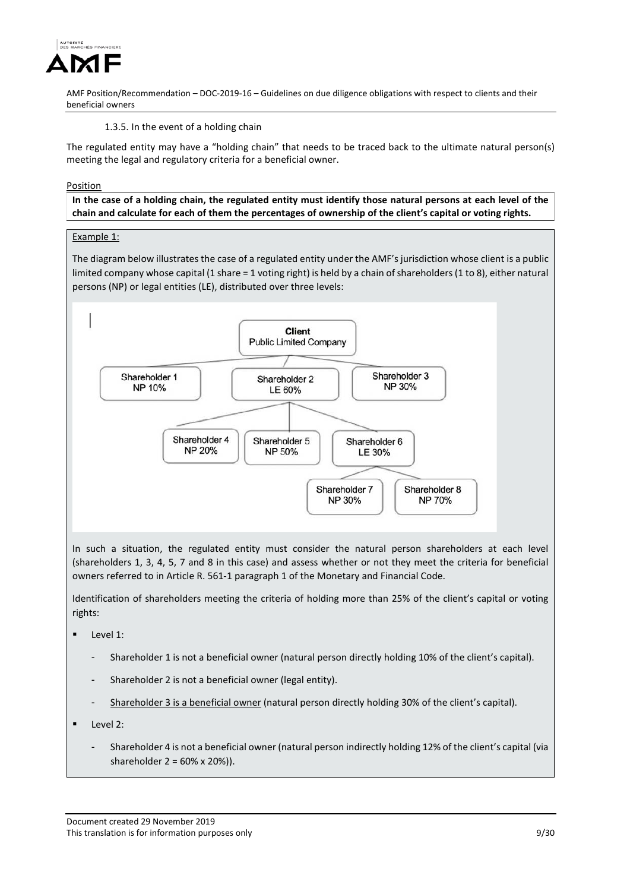

#### 1.3.5. In the event of a holding chain

The regulated entity may have a "holding chain" that needs to be traced back to the ultimate natural person(s) meeting the legal and regulatory criteria for a beneficial owner.

#### Position

**In the case of a holding chain, the regulated entity must identify those natural persons at each level of the chain and calculate for each of them the percentages of ownership of the client's capital or voting rights.**

#### Example 1:

The diagram below illustrates the case of a regulated entity under the AMF's jurisdiction whose client is a public limited company whose capital (1 share = 1 voting right) is held by a chain of shareholders (1 to 8), either natural persons (NP) or legal entities (LE), distributed over three levels:



In such a situation, the regulated entity must consider the natural person shareholders at each level (shareholders 1, 3, 4, 5, 7 and 8 in this case) and assess whether or not they meet the criteria for beneficial owners referred to in Article R. 561-1 paragraph 1 of the Monetary and Financial Code.

Identification of shareholders meeting the criteria of holding more than 25% of the client's capital or voting rights:

- **Level 1:** 
	- Shareholder 1 is not a beneficial owner (natural person directly holding 10% of the client's capital).
	- Shareholder 2 is not a beneficial owner (legal entity).
	- Shareholder 3 is a beneficial owner (natural person directly holding 30% of the client's capital).
- Level 2:
	- Shareholder 4 is not a beneficial owner (natural person indirectly holding 12% of the client's capital (via shareholder 2 = 60% x 20%)).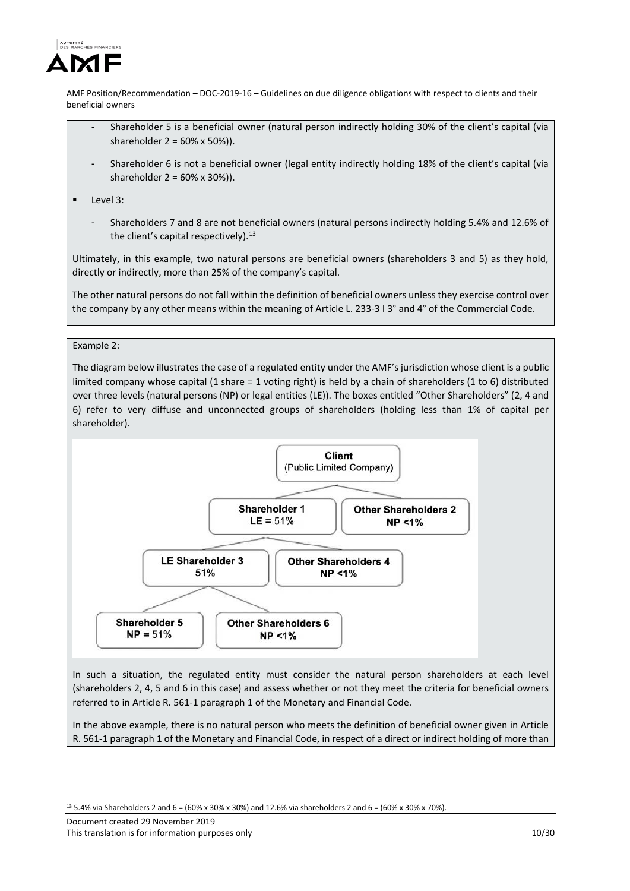

- Shareholder 5 is a beneficial owner (natural person indirectly holding 30% of the client's capital (via shareholder 2 = 60% x 50%)).
- Shareholder 6 is not a beneficial owner (legal entity indirectly holding 18% of the client's capital (via shareholder 2 = 60% x 30%)).
- Level 3:
	- Shareholders 7 and 8 are not beneficial owners (natural persons indirectly holding 5.4% and 12.6% of the client's capital respectively).  $13$

Ultimately, in this example, two natural persons are beneficial owners (shareholders 3 and 5) as they hold, directly or indirectly, more than 25% of the company's capital.

The other natural persons do not fall within the definition of beneficial owners unless they exercise control over the company by any other means within the meaning of Article L. 233-3 I 3° and 4° of the Commercial Code.

#### Example 2:

The diagram below illustrates the case of a regulated entity under the AMF's jurisdiction whose client is a public limited company whose capital (1 share = 1 voting right) is held by a chain of shareholders (1 to 6) distributed over three levels (natural persons (NP) or legal entities (LE)). The boxes entitled "Other Shareholders" (2, 4 and 6) refer to very diffuse and unconnected groups of shareholders (holding less than 1% of capital per shareholder).



In such a situation, the regulated entity must consider the natural person shareholders at each level (shareholders 2, 4, 5 and 6 in this case) and assess whether or not they meet the criteria for beneficial owners referred to in Article R. 561-1 paragraph 1 of the Monetary and Financial Code.

In the above example, there is no natural person who meets the definition of beneficial owner given in Article R. 561-1 paragraph 1 of the Monetary and Financial Code, in respect of a direct or indirect holding of more than

<span id="page-9-0"></span> $13$  5.4% via Shareholders 2 and 6 = (60% x 30% x 30%) and 12.6% via shareholders 2 and 6 = (60% x 30% x 70%).

Document created 29 November 2019 This translation is for information purposes only 10/30 and 10/30 and 10/30 and 10/30 and 10/30 and 10/30 and 10/30 and 10/30 and 10/30 and 10/30 and 10/30 and 10/30 and 10/30 and 10/30 and 10/30 and 10/30 and 10/30 and 10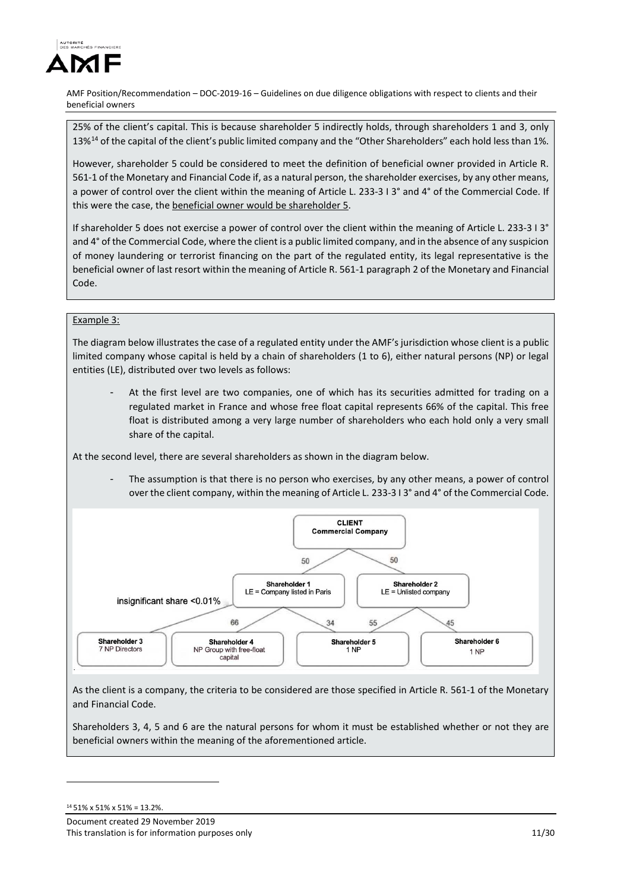

25% of the client's capital. This is because shareholder 5 indirectly holds, through shareholders 1 and 3, only 13%[14](#page-10-0) of the capital of the client's public limited company and the "Other Shareholders" each hold less than 1%.

However, shareholder 5 could be considered to meet the definition of beneficial owner provided in Article R. 561-1 of the Monetary and Financial Code if, as a natural person, the shareholder exercises, by any other means, a power of control over the client within the meaning of Article L. 233-3 I 3° and 4° of the Commercial Code. If this were the case, the beneficial owner would be shareholder 5.

If shareholder 5 does not exercise a power of control over the client within the meaning of Article L. 233-3 I 3° and 4° of the Commercial Code, where the client is a public limited company, and in the absence of any suspicion of money laundering or terrorist financing on the part of the regulated entity, its legal representative is the beneficial owner of last resort within the meaning of Article R. 561-1 paragraph 2 of the Monetary and Financial Code.

#### Example 3:

The diagram below illustrates the case of a regulated entity under the AMF's jurisdiction whose client is a public limited company whose capital is held by a chain of shareholders (1 to 6), either natural persons (NP) or legal entities (LE), distributed over two levels as follows:

At the first level are two companies, one of which has its securities admitted for trading on a regulated market in France and whose free float capital represents 66% of the capital. This free float is distributed among a very large number of shareholders who each hold only a very small share of the capital.

At the second level, there are several shareholders as shown in the diagram below.

The assumption is that there is no person who exercises, by any other means, a power of control over the client company, within the meaning of Article L. 233-3 I 3° and 4° of the Commercial Code.



As the client is a company, the criteria to be considered are those specified in Article R. 561-1 of the Monetary and Financial Code.

Shareholders 3, 4, 5 and 6 are the natural persons for whom it must be established whether or not they are beneficial owners within the meaning of the aforementioned article.

<span id="page-10-0"></span><sup>14</sup> 51% x 51% x 51% = 13.2%.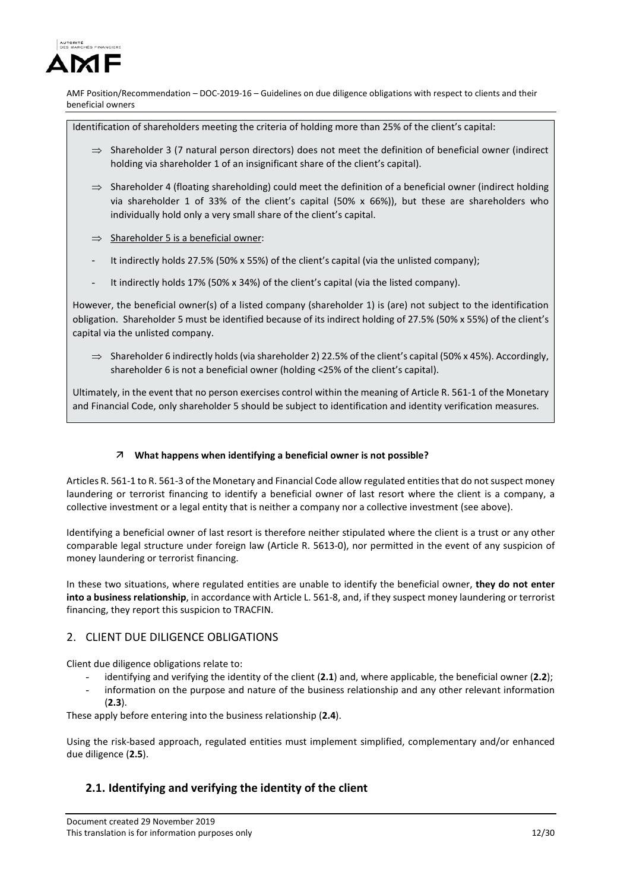

Identification of shareholders meeting the criteria of holding more than 25% of the client's capital:

- $\Rightarrow$  Shareholder 3 (7 natural person directors) does not meet the definition of beneficial owner (indirect holding via shareholder 1 of an insignificant share of the client's capital).
- $\Rightarrow$  Shareholder 4 (floating shareholding) could meet the definition of a beneficial owner (indirect holding via shareholder 1 of 33% of the client's capital (50% x 66%)), but these are shareholders who individually hold only a very small share of the client's capital.
- $\Rightarrow$  Shareholder 5 is a beneficial owner:
- It indirectly holds 27.5% (50% x 55%) of the client's capital (via the unlisted company);
- It indirectly holds 17% (50% x 34%) of the client's capital (via the listed company).

However, the beneficial owner(s) of a listed company (shareholder 1) is (are) not subject to the identification obligation. Shareholder 5 must be identified because of its indirect holding of 27.5% (50% x 55%) of the client's capital via the unlisted company.

 $\Rightarrow$  Shareholder 6 indirectly holds (via shareholder 2) 22.5% of the client's capital (50% x 45%). Accordingly, shareholder 6 is not a beneficial owner (holding <25% of the client's capital).

Ultimately, in the event that no person exercises control within the meaning of Article R. 561-1 of the Monetary and Financial Code, only shareholder 5 should be subject to identification and identity verification measures.

### **What happens when identifying a beneficial owner is not possible?**

Articles R. 561-1 to R. 561-3 of the Monetary and Financial Code allow regulated entities that do not suspect money laundering or terrorist financing to identify a beneficial owner of last resort where the client is a company, a collective investment or a legal entity that is neither a company nor a collective investment (see above).

Identifying a beneficial owner of last resort is therefore neither stipulated where the client is a trust or any other comparable legal structure under foreign law (Article R. 5613-0), nor permitted in the event of any suspicion of money laundering or terrorist financing.

In these two situations, where regulated entities are unable to identify the beneficial owner, **they do not enter into a business relationship**, in accordance with Article L. 561-8, and, if they suspect money laundering or terrorist financing, they report this suspicion to TRACFIN.

## 2. CLIENT DUE DILIGENCE OBLIGATIONS

Client due diligence obligations relate to:

- identifying and verifying the identity of the client (**2.1**) and, where applicable, the beneficial owner (**2.2**);
- information on the purpose and nature of the business relationship and any other relevant information (**2.3**).

These apply before entering into the business relationship (**2.4**).

Using the risk-based approach, regulated entities must implement simplified, complementary and/or enhanced due diligence (**2.5**).

# **2.1. Identifying and verifying the identity of the client**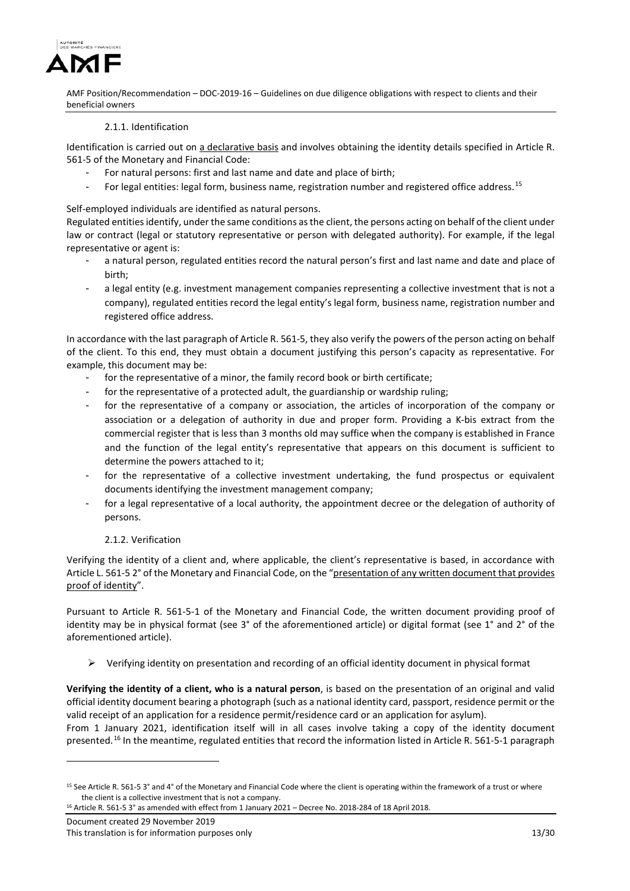

### 2.1.1. Identification

Identification is carried out on a declarative basis and involves obtaining the identity details specified in Article R. 561-5 of the Monetary and Financial Code:

- For natural persons: first and last name and date and place of birth;
- For legal entities: legal form, business name, registration number and registered office address.<sup>[15](#page-12-0)</sup>

Self-employed individuals are identified as natural persons.

Regulated entities identify, under the same conditions as the client, the persons acting on behalf of the client under law or contract (legal or statutory representative or person with delegated authority). For example, if the legal representative or agent is:

- a natural person, regulated entities record the natural person's first and last name and date and place of birth;
- a legal entity (e.g. investment management companies representing a collective investment that is not a company), regulated entities record the legal entity's legal form, business name, registration number and registered office address.

In accordance with the last paragraph of Article R. 561-5, they also verify the powers of the person acting on behalf of the client. To this end, they must obtain a document justifying this person's capacity as representative. For example, this document may be:

- for the representative of a minor, the family record book or birth certificate;
- for the representative of a protected adult, the guardianship or wardship ruling;
- for the representative of a company or association, the articles of incorporation of the company or association or a delegation of authority in due and proper form. Providing a K-bis extract from the commercial register that is less than 3 months old may suffice when the company is established in France and the function of the legal entity's representative that appears on this document is sufficient to determine the powers attached to it;
- for the representative of a collective investment undertaking, the fund prospectus or equivalent documents identifying the investment management company;
- for a legal representative of a local authority, the appointment decree or the delegation of authority of persons.

## 2.1.2. Verification

Verifying the identity of a client and, where applicable, the client's representative is based, in accordance with Article L. 561-5 2° of the Monetary and Financial Code, on the "presentation of any written document that provides proof of identity".

Pursuant to Article R. 561-5-1 of the Monetary and Financial Code, the written document providing proof of identity may be in physical format (see 3° of the aforementioned article) or digital format (see 1° and 2° of the aforementioned article).

 $\triangleright$  Verifying identity on presentation and recording of an official identity document in physical format

**Verifying the identity of a client, who is a natural person**, is based on the presentation of an original and valid official identity document bearing a photograph (such as a national identity card, passport, residence permit or the valid receipt of an application for a residence permit/residence card or an application for asylum).

From 1 January 2021, identification itself will in all cases involve taking a copy of the identity document presented.<sup>[16](#page-12-1)</sup> In the meantime, regulated entities that record the information listed in Article R. 561-5-1 paragraph

<span id="page-12-0"></span> $15$  See Article R. 561-5 3° and 4° of the Monetary and Financial Code where the client is operating within the framework of a trust or where the client is a collective investment that is not a company. 16 Article R. 561-5 3° as amended with effect from 1 January 2021 – Decree No. 2018-284 of 18 April 2018.

<span id="page-12-1"></span>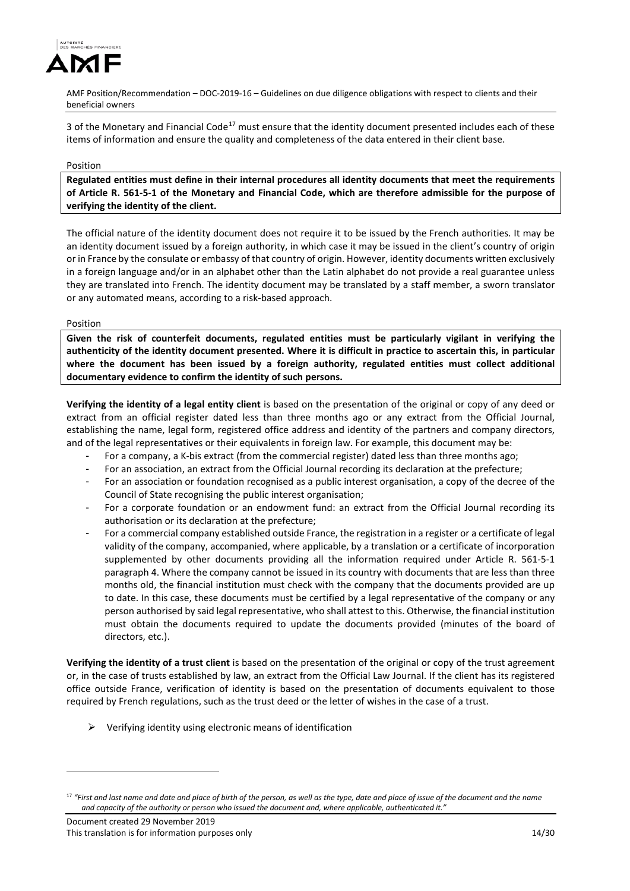

3 of the Monetary and Financial Code<sup>[17](#page-13-0)</sup> must ensure that the identity document presented includes each of these items of information and ensure the quality and completeness of the data entered in their client base.

#### Position

**Regulated entities must define in their internal procedures all identity documents that meet the requirements of Article R. 561-5-1 of the Monetary and Financial Code, which are therefore admissible for the purpose of verifying the identity of the client.** 

The official nature of the identity document does not require it to be issued by the French authorities. It may be an identity document issued by a foreign authority, in which case it may be issued in the client's country of origin or in France by the consulate or embassy of that country of origin. However, identity documents written exclusively in a foreign language and/or in an alphabet other than the Latin alphabet do not provide a real guarantee unless they are translated into French. The identity document may be translated by a staff member, a sworn translator or any automated means, according to a risk-based approach.

Position

**Given the risk of counterfeit documents, regulated entities must be particularly vigilant in verifying the authenticity of the identity document presented. Where it is difficult in practice to ascertain this, in particular where the document has been issued by a foreign authority, regulated entities must collect additional documentary evidence to confirm the identity of such persons.** 

**Verifying the identity of a legal entity client** is based on the presentation of the original or copy of any deed or extract from an official register dated less than three months ago or any extract from the Official Journal, establishing the name, legal form, registered office address and identity of the partners and company directors, and of the legal representatives or their equivalents in foreign law. For example, this document may be:

- For a company, a K-bis extract (from the commercial register) dated less than three months ago;
- For an association, an extract from the Official Journal recording its declaration at the prefecture;
- For an association or foundation recognised as a public interest organisation, a copy of the decree of the Council of State recognising the public interest organisation;
- For a corporate foundation or an endowment fund: an extract from the Official Journal recording its authorisation or its declaration at the prefecture;
- For a commercial company established outside France, the registration in a register or a certificate of legal validity of the company, accompanied, where applicable, by a translation or a certificate of incorporation supplemented by other documents providing all the information required under Article R. 561-5-1 paragraph 4. Where the company cannot be issued in its country with documents that are less than three months old, the financial institution must check with the company that the documents provided are up to date. In this case, these documents must be certified by a legal representative of the company or any person authorised by said legal representative, who shall attest to this. Otherwise, the financial institution must obtain the documents required to update the documents provided (minutes of the board of directors, etc.).

**Verifying the identity of a trust client** is based on the presentation of the original or copy of the trust agreement or, in the case of trusts established by law, an extract from the Official Law Journal. If the client has its registered office outside France, verification of identity is based on the presentation of documents equivalent to those required by French regulations, such as the trust deed or the letter of wishes in the case of a trust.

Verifying identity using electronic means of identification

<span id="page-13-0"></span><sup>17</sup> *"First and last name and date and place of birth of the person, as well as the type, date and place of issue of the document and the name and capacity of the authority or person who issued the document and, where applicable, authenticated it."*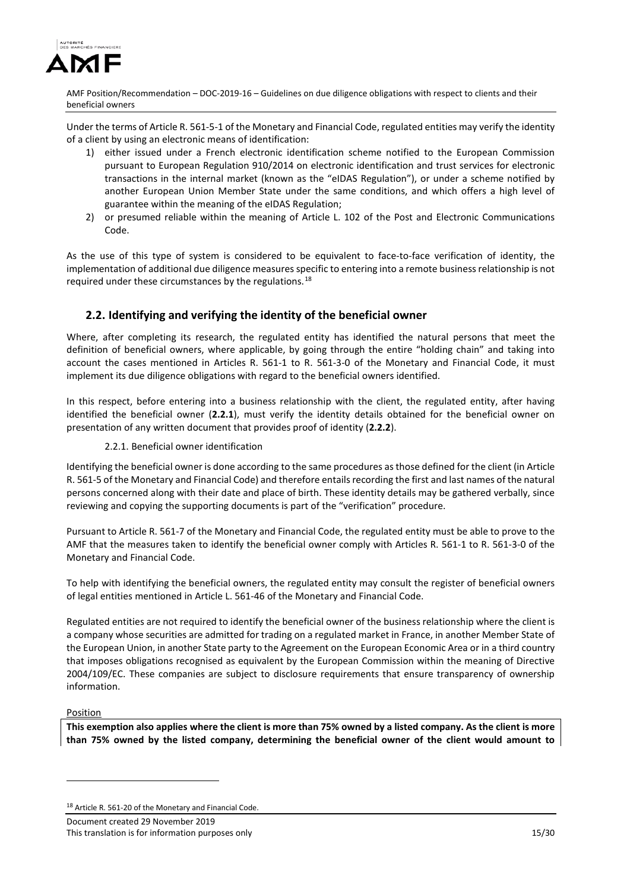

Under the terms of Article R. 561-5-1 of the Monetary and Financial Code, regulated entities may verify the identity of a client by using an electronic means of identification:

- 1) either issued under a French electronic identification scheme notified to the European Commission pursuant to European Regulation 910/2014 on electronic identification and trust services for electronic transactions in the internal market (known as the "eIDAS Regulation"), or under a scheme notified by another European Union Member State under the same conditions, and which offers a high level of guarantee within the meaning of the eIDAS Regulation;
- 2) or presumed reliable within the meaning of Article L. 102 of the Post and Electronic Communications Code.

As the use of this type of system is considered to be equivalent to face-to-face verification of identity, the implementation of additional due diligence measures specific to entering into a remote business relationship is not required under these circumstances by the regulations.<sup>[18](#page-14-0)</sup>

# **2.2. Identifying and verifying the identity of the beneficial owner**

Where, after completing its research, the regulated entity has identified the natural persons that meet the definition of beneficial owners, where applicable, by going through the entire "holding chain" and taking into account the cases mentioned in Articles R. 561-1 to R. 561-3-0 of the Monetary and Financial Code, it must implement its due diligence obligations with regard to the beneficial owners identified.

In this respect, before entering into a business relationship with the client, the regulated entity, after having identified the beneficial owner (**2.2.1**), must verify the identity details obtained for the beneficial owner on presentation of any written document that provides proof of identity (**2.2.2**).

2.2.1. Beneficial owner identification

Identifying the beneficial owner is done according to the same procedures as those defined for the client (in Article R. 561-5 of the Monetary and Financial Code) and therefore entails recording the first and last names of the natural persons concerned along with their date and place of birth. These identity details may be gathered verbally, since reviewing and copying the supporting documents is part of the "verification" procedure.

Pursuant to Article R. 561-7 of the Monetary and Financial Code, the regulated entity must be able to prove to the AMF that the measures taken to identify the beneficial owner comply with Articles R. 561-1 to R. 561-3-0 of the Monetary and Financial Code.

To help with identifying the beneficial owners, the regulated entity may consult the register of beneficial owners of legal entities mentioned in Article L. 561-46 of the Monetary and Financial Code.

Regulated entities are not required to identify the beneficial owner of the business relationship where the client is a company whose securities are admitted for trading on a regulated market in France, in another Member State of the European Union, in another State party to the Agreement on the European Economic Area or in a third country that imposes obligations recognised as equivalent by the European Commission within the meaning of Directive 2004/109/EC. These companies are subject to disclosure requirements that ensure transparency of ownership information.

#### Position

<u>.</u>

**This exemption also applies where the client is more than 75% owned by a listed company. As the client is more than 75% owned by the listed company, determining the beneficial owner of the client would amount to** 

<span id="page-14-0"></span><sup>18</sup> Article R. 561-20 of the Monetary and Financial Code.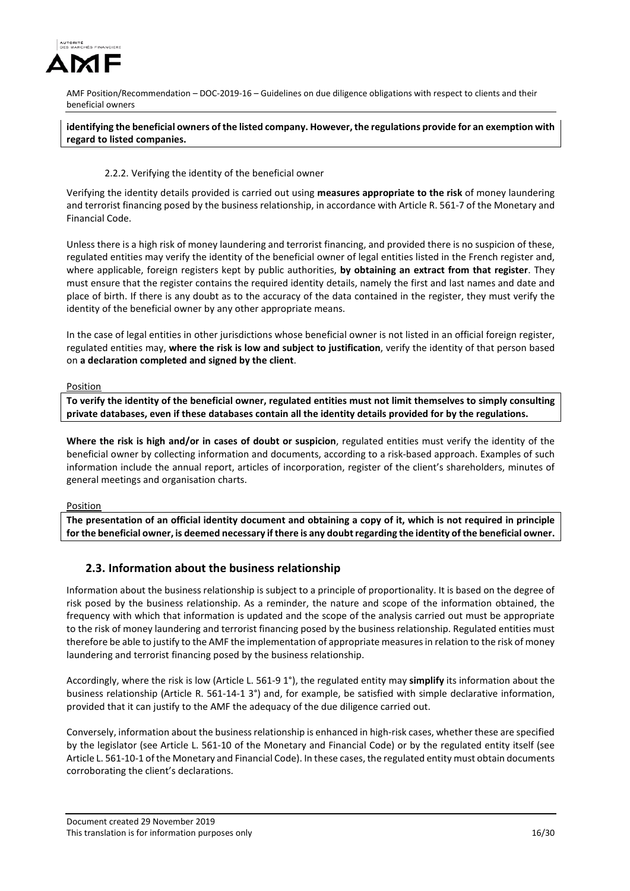

**identifying the beneficial owners of the listed company. However, the regulations provide for an exemption with regard to listed companies.** 

## 2.2.2. Verifying the identity of the beneficial owner

Verifying the identity details provided is carried out using **measures appropriate to the risk** of money laundering and terrorist financing posed by the business relationship, in accordance with Article R. 561-7 of the Monetary and Financial Code.

Unless there is a high risk of money laundering and terrorist financing, and provided there is no suspicion of these, regulated entities may verify the identity of the beneficial owner of legal entities listed in the French register and, where applicable, foreign registers kept by public authorities, **by obtaining an extract from that register**. They must ensure that the register contains the required identity details, namely the first and last names and date and place of birth. If there is any doubt as to the accuracy of the data contained in the register, they must verify the identity of the beneficial owner by any other appropriate means.

In the case of legal entities in other jurisdictions whose beneficial owner is not listed in an official foreign register, regulated entities may, **where the risk is low and subject to justification**, verify the identity of that person based on **a declaration completed and signed by the client**.

#### Position

**To verify the identity of the beneficial owner, regulated entities must not limit themselves to simply consulting private databases, even if these databases contain all the identity details provided for by the regulations.** 

**Where the risk is high and/or in cases of doubt or suspicion**, regulated entities must verify the identity of the beneficial owner by collecting information and documents, according to a risk-based approach. Examples of such information include the annual report, articles of incorporation, register of the client's shareholders, minutes of general meetings and organisation charts.

Position

**The presentation of an official identity document and obtaining a copy of it, which is not required in principle for the beneficial owner, is deemed necessary if there is any doubt regarding the identity of the beneficial owner.** 

# **2.3. Information about the business relationship**

Information about the business relationship is subject to a principle of proportionality. It is based on the degree of risk posed by the business relationship. As a reminder, the nature and scope of the information obtained, the frequency with which that information is updated and the scope of the analysis carried out must be appropriate to the risk of money laundering and terrorist financing posed by the business relationship. Regulated entities must therefore be able to justify to the AMF the implementation of appropriate measures in relation to the risk of money laundering and terrorist financing posed by the business relationship.

Accordingly, where the risk is low (Article L. 561-9 1°), the regulated entity may **simplify** its information about the business relationship (Article R. 561-14-1 3°) and, for example, be satisfied with simple declarative information, provided that it can justify to the AMF the adequacy of the due diligence carried out.

Conversely, information about the business relationship is enhanced in high-risk cases, whether these are specified by the legislator (see Article L. 561-10 of the Monetary and Financial Code) or by the regulated entity itself (see Article L. 561-10-1 of the Monetary and Financial Code). In these cases, the regulated entity must obtain documents corroborating the client's declarations.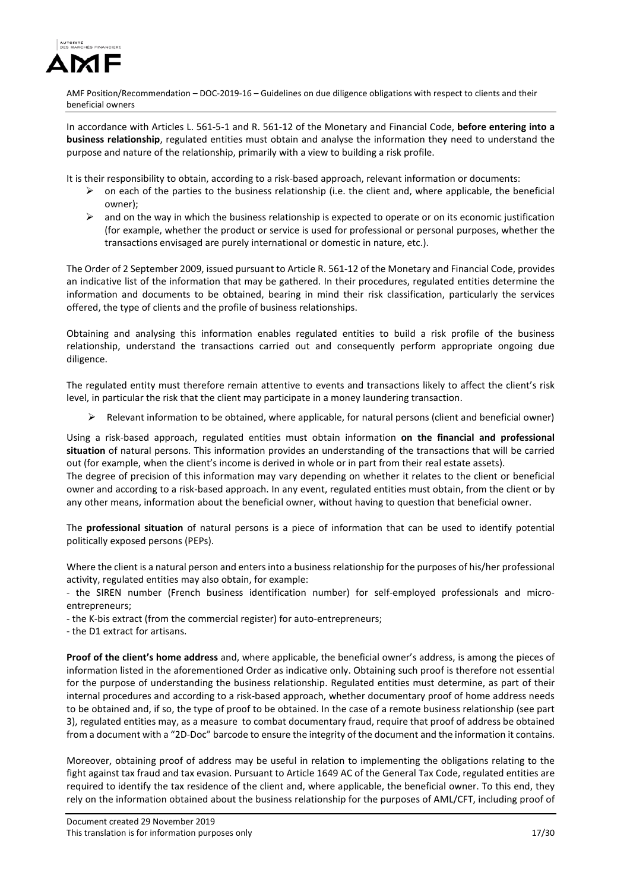

In accordance with Articles L. 561-5-1 and R. 561-12 of the Monetary and Financial Code, **before entering into a business relationship**, regulated entities must obtain and analyse the information they need to understand the purpose and nature of the relationship, primarily with a view to building a risk profile.

It is their responsibility to obtain, according to a risk-based approach, relevant information or documents:

- $\triangleright$  on each of the parties to the business relationship (i.e. the client and, where applicable, the beneficial owner);
- $\triangleright$  and on the way in which the business relationship is expected to operate or on its economic justification (for example, whether the product or service is used for professional or personal purposes, whether the transactions envisaged are purely international or domestic in nature, etc.).

The Order of 2 September 2009, issued pursuant to Article R. 561-12 of the Monetary and Financial Code, provides an indicative list of the information that may be gathered. In their procedures, regulated entities determine the information and documents to be obtained, bearing in mind their risk classification, particularly the services offered, the type of clients and the profile of business relationships.

Obtaining and analysing this information enables regulated entities to build a risk profile of the business relationship, understand the transactions carried out and consequently perform appropriate ongoing due diligence.

The regulated entity must therefore remain attentive to events and transactions likely to affect the client's risk level, in particular the risk that the client may participate in a money laundering transaction.

 $\triangleright$  Relevant information to be obtained, where applicable, for natural persons (client and beneficial owner)

Using a risk-based approach, regulated entities must obtain information **on the financial and professional situation** of natural persons. This information provides an understanding of the transactions that will be carried out (for example, when the client's income is derived in whole or in part from their real estate assets).

The degree of precision of this information may vary depending on whether it relates to the client or beneficial owner and according to a risk-based approach. In any event, regulated entities must obtain, from the client or by any other means, information about the beneficial owner, without having to question that beneficial owner.

The **professional situation** of natural persons is a piece of information that can be used to identify potential politically exposed persons (PEPs).

Where the client is a natural person and enters into a business relationship for the purposes of his/her professional activity, regulated entities may also obtain, for example:

- the SIREN number (French business identification number) for self-employed professionals and microentrepreneurs;

- the K-bis extract (from the commercial register) for auto-entrepreneurs;
- the D1 extract for artisans.

**Proof of the client's home address** and, where applicable, the beneficial owner's address, is among the pieces of information listed in the aforementioned Order as indicative only. Obtaining such proof is therefore not essential for the purpose of understanding the business relationship. Regulated entities must determine, as part of their internal procedures and according to a risk-based approach, whether documentary proof of home address needs to be obtained and, if so, the type of proof to be obtained. In the case of a remote business relationship (see part 3), regulated entities may, as a measure to combat documentary fraud, require that proof of address be obtained from a document with a "2D-Doc" barcode to ensure the integrity of the document and the information it contains.

Moreover, obtaining proof of address may be useful in relation to implementing the obligations relating to the fight against tax fraud and tax evasion. Pursuant to Article 1649 AC of the General Tax Code, regulated entities are required to identify the tax residence of the client and, where applicable, the beneficial owner. To this end, they rely on the information obtained about the business relationship for the purposes of AML/CFT, including proof of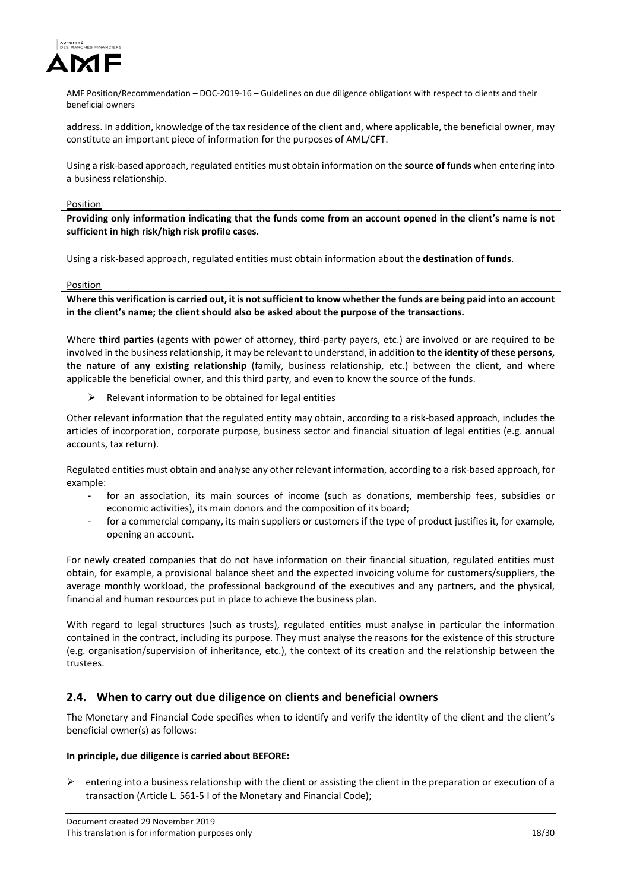

address. In addition, knowledge of the tax residence of the client and, where applicable, the beneficial owner, may constitute an important piece of information for the purposes of AML/CFT.

Using a risk-based approach, regulated entities must obtain information on the **source of funds** when entering into a business relationship.

#### Position

**Providing only information indicating that the funds come from an account opened in the client's name is not sufficient in high risk/high risk profile cases.** 

Using a risk-based approach, regulated entities must obtain information about the **destination of funds**.

#### Position

**Where this verification is carried out, it is not sufficient to know whether the funds are being paid into an account in the client's name; the client should also be asked about the purpose of the transactions.**

Where **third parties** (agents with power of attorney, third-party payers, etc.) are involved or are required to be involved in the business relationship, it may be relevant to understand, in addition to **the identity of these persons, the nature of any existing relationship** (family, business relationship, etc.) between the client, and where applicable the beneficial owner, and this third party, and even to know the source of the funds.

 $\triangleright$  Relevant information to be obtained for legal entities

Other relevant information that the regulated entity may obtain, according to a risk-based approach, includes the articles of incorporation, corporate purpose, business sector and financial situation of legal entities (e.g. annual accounts, tax return).

Regulated entities must obtain and analyse any other relevant information, according to a risk-based approach, for example:

- for an association, its main sources of income (such as donations, membership fees, subsidies or economic activities), its main donors and the composition of its board;
- for a commercial company, its main suppliers or customers if the type of product justifies it, for example, opening an account.

For newly created companies that do not have information on their financial situation, regulated entities must obtain, for example, a provisional balance sheet and the expected invoicing volume for customers/suppliers, the average monthly workload, the professional background of the executives and any partners, and the physical, financial and human resources put in place to achieve the business plan.

With regard to legal structures (such as trusts), regulated entities must analyse in particular the information contained in the contract, including its purpose. They must analyse the reasons for the existence of this structure (e.g. organisation/supervision of inheritance, etc.), the context of its creation and the relationship between the trustees.

## **2.4. When to carry out due diligence on clients and beneficial owners**

The Monetary and Financial Code specifies when to identify and verify the identity of the client and the client's beneficial owner(s) as follows:

### **In principle, due diligence is carried about BEFORE:**

 $\triangleright$  entering into a business relationship with the client or assisting the client in the preparation or execution of a transaction (Article L. 561-5 I of the Monetary and Financial Code);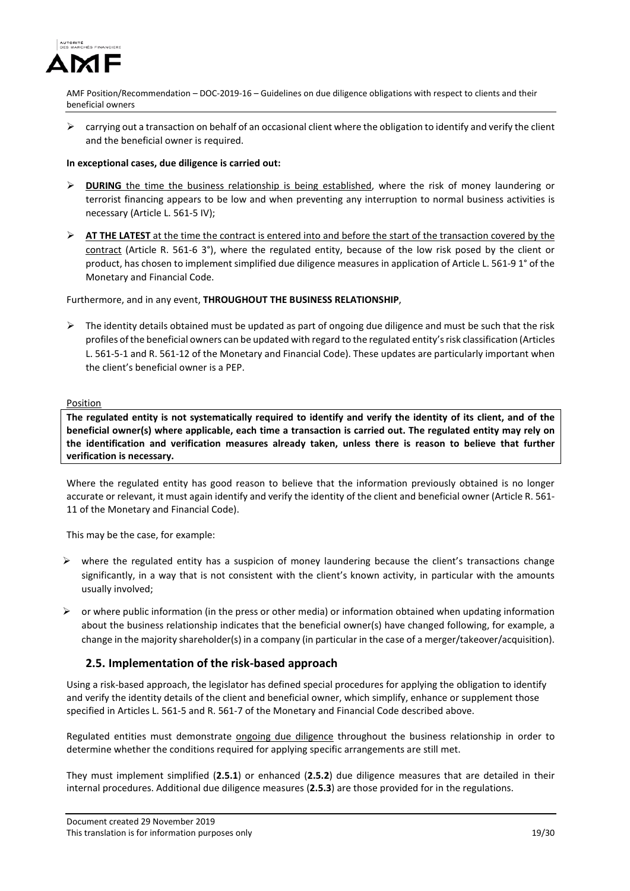

 $\triangleright$  carrying out a transaction on behalf of an occasional client where the obligation to identify and verify the client and the beneficial owner is required.

### **In exceptional cases, due diligence is carried out:**

- **►** DURING the time the business relationship is being established, where the risk of money laundering or terrorist financing appears to be low and when preventing any interruption to normal business activities is necessary (Article L. 561-5 IV);
- **AT THE LATEST** at the time the contract is entered into and before the start of the transaction covered by the contract (Article R. 561-6 3°), where the regulated entity, because of the low risk posed by the client or product, has chosen to implement simplified due diligence measures in application of Article L. 561-9 1° of the Monetary and Financial Code.

Furthermore, and in any event, **THROUGHOUT THE BUSINESS RELATIONSHIP**,

 $\triangleright$  The identity details obtained must be updated as part of ongoing due diligence and must be such that the risk profiles of the beneficial owners can be updated with regard to the regulated entity's risk classification (Articles L. 561-5-1 and R. 561-12 of the Monetary and Financial Code). These updates are particularly important when the client's beneficial owner is a PEP.

#### Position

**The regulated entity is not systematically required to identify and verify the identity of its client, and of the beneficial owner(s) where applicable, each time a transaction is carried out. The regulated entity may rely on the identification and verification measures already taken, unless there is reason to believe that further verification is necessary.**

Where the regulated entity has good reason to believe that the information previously obtained is no longer accurate or relevant, it must again identify and verify the identity of the client and beneficial owner (Article R. 561- 11 of the Monetary and Financial Code).

This may be the case, for example:

- $\triangleright$  where the regulated entity has a suspicion of money laundering because the client's transactions change significantly, in a way that is not consistent with the client's known activity, in particular with the amounts usually involved;
- $\triangleright$  or where public information (in the press or other media) or information obtained when updating information about the business relationship indicates that the beneficial owner(s) have changed following, for example, a change in the majority shareholder(s) in a company (in particular in the case of a merger/takeover/acquisition).

## **2.5. Implementation of the risk-based approach**

Using a risk-based approach, the legislator has defined special procedures for applying the obligation to identify and verify the identity details of the client and beneficial owner, which simplify, enhance or supplement those specified in Articles L. 561-5 and R. 561-7 of the Monetary and Financial Code described above.

Regulated entities must demonstrate ongoing due diligence throughout the business relationship in order to determine whether the conditions required for applying specific arrangements are still met.

They must implement simplified (**2.5.1**) or enhanced (**2.5.2**) due diligence measures that are detailed in their internal procedures. Additional due diligence measures (**2.5.3**) are those provided for in the regulations.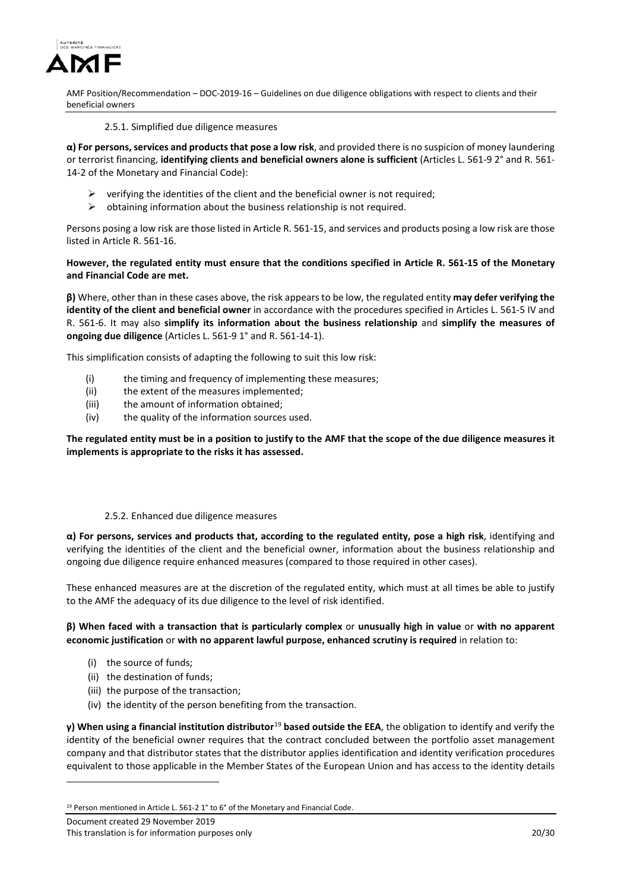

#### 2.5.1. Simplified due diligence measures

**α) For persons, services and products that pose a low risk**, and provided there is no suspicion of money laundering or terrorist financing, **identifying clients and beneficial owners alone is sufficient** (Articles L. 561-9 2° and R. 561- 14-2 of the Monetary and Financial Code):

- $\triangleright$  verifying the identities of the client and the beneficial owner is not required;
- $\triangleright$  obtaining information about the business relationship is not required.

Persons posing a low risk are those listed in Article R. 561-15, and services and products posing a low risk are those listed in Article R. 561-16.

## **However, the regulated entity must ensure that the conditions specified in Article R. 561-15 of the Monetary and Financial Code are met.**

**β)** Where, other than in these cases above, the risk appears to be low, the regulated entity **may defer verifying the identity of the client and beneficial owner** in accordance with the procedures specified in Articles L. 561-5 IV and R. 561-6. It may also **simplify its information about the business relationship** and **simplify the measures of ongoing due diligence** (Articles L. 561-9 1° and R. 561-14-1).

This simplification consists of adapting the following to suit this low risk:

- (i) the timing and frequency of implementing these measures;
- (ii) the extent of the measures implemented;
- (iii) the amount of information obtained;
- (iv) the quality of the information sources used.

**The regulated entity must be in a position to justify to the AMF that the scope of the due diligence measures it implements is appropriate to the risks it has assessed.**

### 2.5.2. Enhanced due diligence measures

**α) For persons, services and products that, according to the regulated entity, pose a high risk**, identifying and verifying the identities of the client and the beneficial owner, information about the business relationship and ongoing due diligence require enhanced measures (compared to those required in other cases).

These enhanced measures are at the discretion of the regulated entity, which must at all times be able to justify to the AMF the adequacy of its due diligence to the level of risk identified.

## **β) When faced with a transaction that is particularly complex** or **unusually high in value** or **with no apparent economic justification** or **with no apparent lawful purpose, enhanced scrutiny is required** in relation to:

(i) the source of funds;

-

- (ii) the destination of funds;
- (iii) the purpose of the transaction;
- (iv) the identity of the person benefiting from the transaction.

**γ) When using a financial institution distributor**[19](#page-19-0) **based outside the EEA**, the obligation to identify and verify the identity of the beneficial owner requires that the contract concluded between the portfolio asset management company and that distributor states that the distributor applies identification and identity verification procedures equivalent to those applicable in the Member States of the European Union and has access to the identity details

<span id="page-19-0"></span><sup>19</sup> Person mentioned in Article L. 561-2 1° to 6° of the Monetary and Financial Code.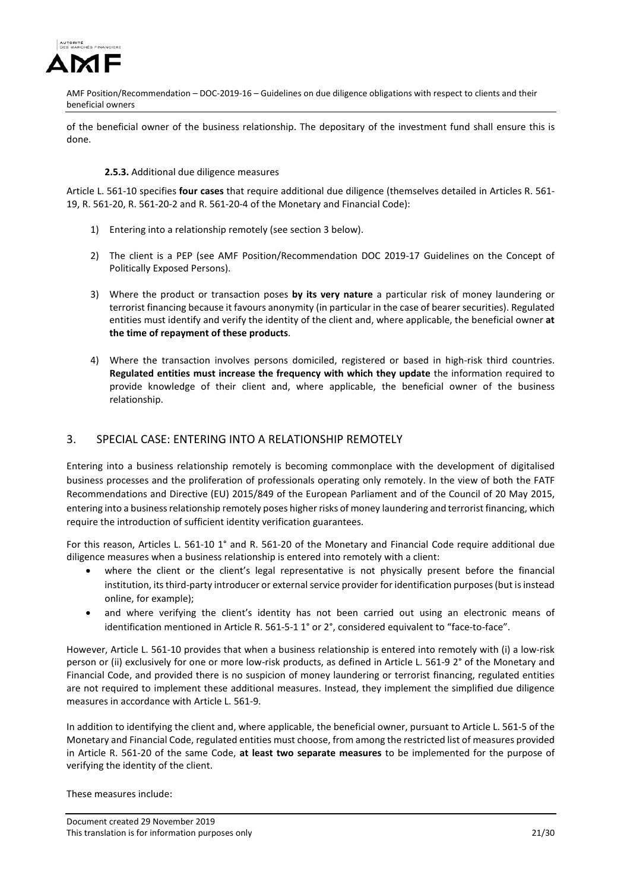

of the beneficial owner of the business relationship. The depositary of the investment fund shall ensure this is done.

#### **2.5.3.** Additional due diligence measures

Article L. 561-10 specifies **four cases** that require additional due diligence (themselves detailed in Articles R. 561- 19, R. 561-20, R. 561-20-2 and R. 561-20-4 of the Monetary and Financial Code):

- 1) Entering into a relationship remotely (see section 3 below).
- 2) The client is a PEP (see AMF Position/Recommendation DOC 2019-17 Guidelines on the Concept of Politically Exposed Persons).
- 3) Where the product or transaction poses **by its very nature** a particular risk of money laundering or terrorist financing because it favours anonymity (in particular in the case of bearer securities). Regulated entities must identify and verify the identity of the client and, where applicable, the beneficial owner **at the time of repayment of these products**.
- 4) Where the transaction involves persons domiciled, registered or based in high-risk third countries. **Regulated entities must increase the frequency with which they update** the information required to provide knowledge of their client and, where applicable, the beneficial owner of the business relationship.

## 3. SPECIAL CASE: ENTERING INTO A RELATIONSHIP REMOTELY

Entering into a business relationship remotely is becoming commonplace with the development of digitalised business processes and the proliferation of professionals operating only remotely. In the view of both the FATF Recommendations and Directive (EU) 2015/849 of the European Parliament and of the Council of 20 May 2015, entering into a business relationship remotely poses higher risks of money laundering and terrorist financing, which require the introduction of sufficient identity verification guarantees.

For this reason, Articles L. 561-10 1° and R. 561-20 of the Monetary and Financial Code require additional due diligence measures when a business relationship is entered into remotely with a client:

- where the client or the client's legal representative is not physically present before the financial institution, its third-party introducer or external service provider for identification purposes (but is instead online, for example);
- and where verifying the client's identity has not been carried out using an electronic means of identification mentioned in Article R. 561-5-1 1° or 2°, considered equivalent to "face-to-face".

However, Article L. 561-10 provides that when a business relationship is entered into remotely with (i) a low-risk person or (ii) exclusively for one or more low-risk products, as defined in Article L. 561-9 2° of the Monetary and Financial Code, and provided there is no suspicion of money laundering or terrorist financing, regulated entities are not required to implement these additional measures. Instead, they implement the simplified due diligence measures in accordance with Article L. 561-9.

In addition to identifying the client and, where applicable, the beneficial owner, pursuant to Article L. 561-5 of the Monetary and Financial Code, regulated entities must choose, from among the restricted list of measures provided in Article R. 561-20 of the same Code, **at least two separate measures** to be implemented for the purpose of verifying the identity of the client.

These measures include: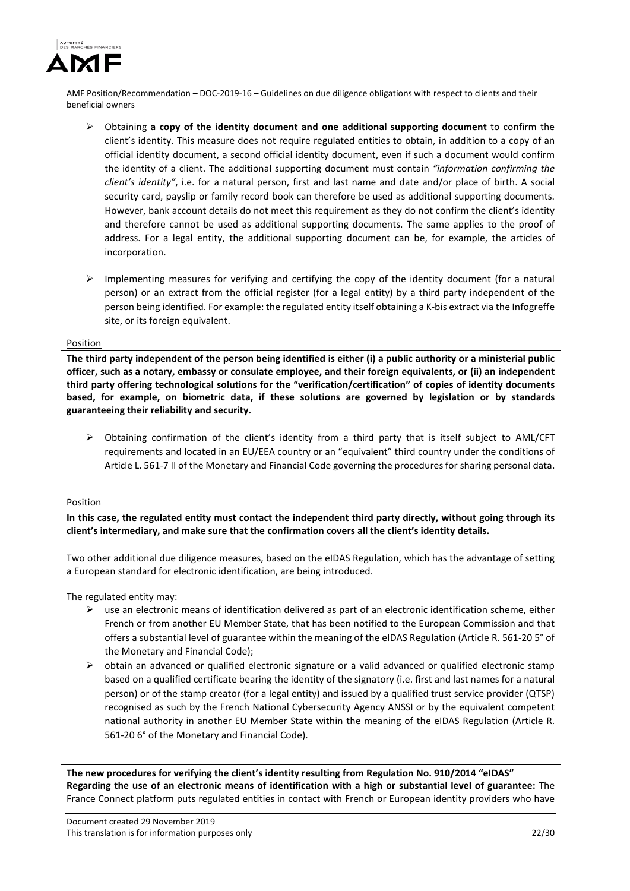

- Obtaining **a copy of the identity document and one additional supporting document** to confirm the client's identity. This measure does not require regulated entities to obtain, in addition to a copy of an official identity document, a second official identity document, even if such a document would confirm the identity of a client. The additional supporting document must contain *"information confirming the client's identity"*, i.e. for a natural person, first and last name and date and/or place of birth. A social security card, payslip or family record book can therefore be used as additional supporting documents. However, bank account details do not meet this requirement as they do not confirm the client's identity and therefore cannot be used as additional supporting documents. The same applies to the proof of address. For a legal entity, the additional supporting document can be, for example, the articles of incorporation.
- $\triangleright$  Implementing measures for verifying and certifying the copy of the identity document (for a natural person) or an extract from the official register (for a legal entity) by a third party independent of the person being identified. For example: the regulated entity itself obtaining a K-bis extract via the Infogreffe site, or its foreign equivalent.

#### Position

**The third party independent of the person being identified is either (i) a public authority or a ministerial public officer, such as a notary, embassy or consulate employee, and their foreign equivalents, or (ii) an independent third party offering technological solutions for the "verification/certification" of copies of identity documents based, for example, on biometric data, if these solutions are governed by legislation or by standards guaranteeing their reliability and security.** 

 $\triangleright$  Obtaining confirmation of the client's identity from a third party that is itself subject to AML/CFT requirements and located in an EU/EEA country or an "equivalent" third country under the conditions of Article L. 561-7 II of the Monetary and Financial Code governing the procedures for sharing personal data.

### Position

**In this case, the regulated entity must contact the independent third party directly, without going through its client's intermediary, and make sure that the confirmation covers all the client's identity details.** 

Two other additional due diligence measures, based on the eIDAS Regulation, which has the advantage of setting a European standard for electronic identification, are being introduced.

The regulated entity may:

- $\triangleright$  use an electronic means of identification delivered as part of an electronic identification scheme, either French or from another EU Member State, that has been notified to the European Commission and that offers a substantial level of guarantee within the meaning of the eIDAS Regulation (Article R. 561-20 5° of the Monetary and Financial Code);
- $\triangleright$  obtain an advanced or qualified electronic signature or a valid advanced or qualified electronic stamp based on a qualified certificate bearing the identity of the signatory (i.e. first and last names for a natural person) or of the stamp creator (for a legal entity) and issued by a qualified trust service provider (QTSP) recognised as such by the French National Cybersecurity Agency ANSSI or by the equivalent competent national authority in another EU Member State within the meaning of the eIDAS Regulation (Article R. 561-20 6° of the Monetary and Financial Code).

**The new procedures for verifying the client's identity resulting from Regulation No. 910/2014 "eIDAS" Regarding the use of an electronic means of identification with a high or substantial level of guarantee:** The France Connect platform puts regulated entities in contact with French or European identity providers who have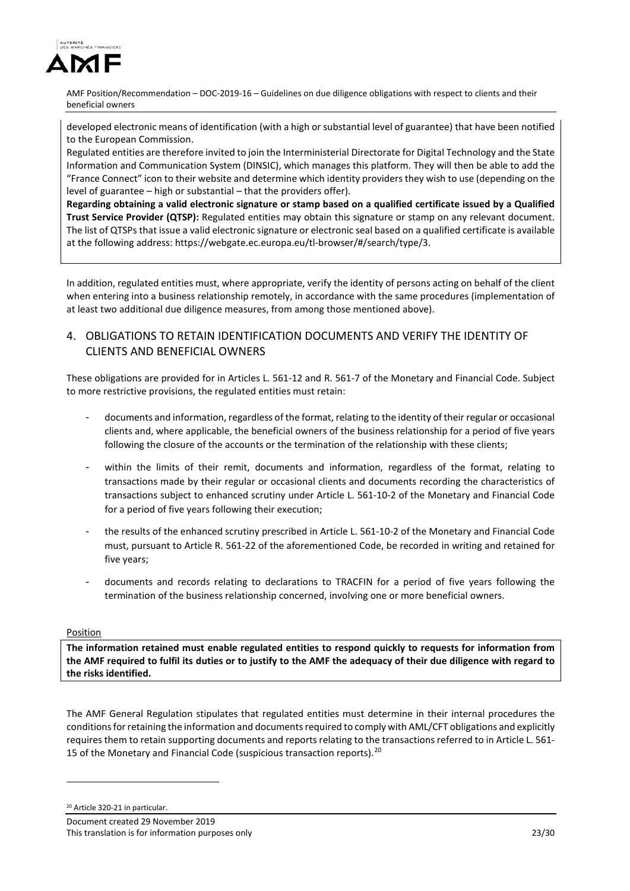

developed electronic means of identification (with a high or substantial level of guarantee) that have been notified to the European Commission.

Regulated entities are therefore invited to join the Interministerial Directorate for Digital Technology and the State Information and Communication System (DINSIC), which manages this platform. They will then be able to add the "France Connect" icon to their website and determine which identity providers they wish to use (depending on the level of guarantee – high or substantial – that the providers offer).

**Regarding obtaining a valid electronic signature or stamp based on a qualified certificate issued by a Qualified Trust Service Provider (QTSP):** Regulated entities may obtain this signature or stamp on any relevant document. The list of QTSPs that issue a valid electronic signature or electronic seal based on a qualified certificate is available at the following address: https://webgate.ec.europa.eu/tl-browser/#/search/type/3.

In addition, regulated entities must, where appropriate, verify the identity of persons acting on behalf of the client when entering into a business relationship remotely, in accordance with the same procedures (implementation of at least two additional due diligence measures, from among those mentioned above).

# 4. OBLIGATIONS TO RETAIN IDENTIFICATION DOCUMENTS AND VERIFY THE IDENTITY OF CLIENTS AND BENEFICIAL OWNERS

These obligations are provided for in Articles L. 561-12 and R. 561-7 of the Monetary and Financial Code. Subject to more restrictive provisions, the regulated entities must retain:

- documents and information, regardless of the format, relating to the identity of their regular or occasional clients and, where applicable, the beneficial owners of the business relationship for a period of five years following the closure of the accounts or the termination of the relationship with these clients;
- within the limits of their remit, documents and information, regardless of the format, relating to transactions made by their regular or occasional clients and documents recording the characteristics of transactions subject to enhanced scrutiny under Article L. 561-10-2 of the Monetary and Financial Code for a period of five years following their execution;
- the results of the enhanced scrutiny prescribed in Article L. 561-10-2 of the Monetary and Financial Code must, pursuant to Article R. 561-22 of the aforementioned Code, be recorded in writing and retained for five years;
- documents and records relating to declarations to TRACFIN for a period of five years following the termination of the business relationship concerned, involving one or more beneficial owners.

### Position

-

**The information retained must enable regulated entities to respond quickly to requests for information from the AMF required to fulfil its duties or to justify to the AMF the adequacy of their due diligence with regard to the risks identified.** 

The AMF General Regulation stipulates that regulated entities must determine in their internal procedures the conditions for retaining the information and documents required to comply with AML/CFT obligations and explicitly requires them to retain supporting documents and reports relating to the transactions referred to in Article L. 561- 15 of the Monetary and Financial Code (suspicious transaction reports).  $20$ 

<span id="page-22-0"></span><sup>20</sup> Article 320-21 in particular.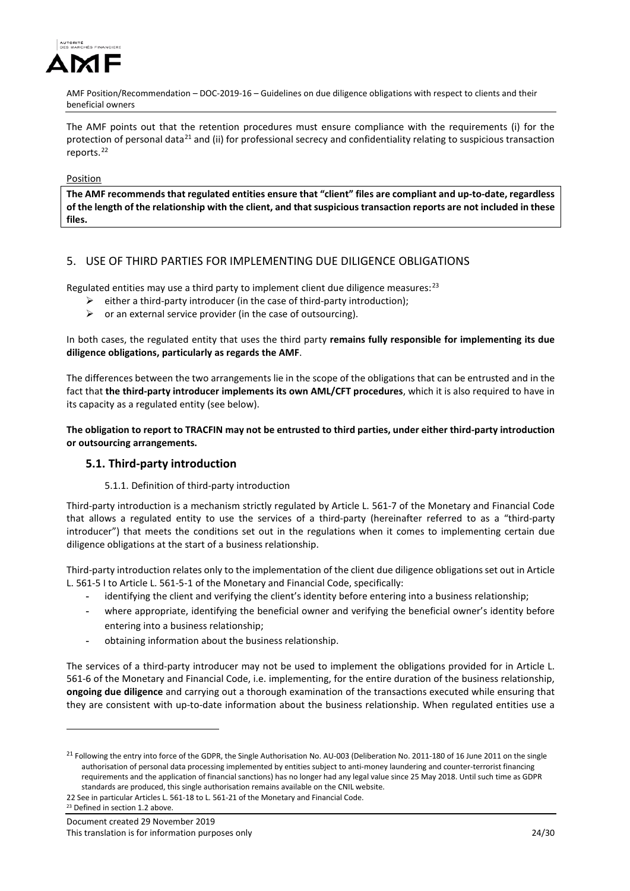

The AMF points out that the retention procedures must ensure compliance with the requirements (i) for the protection of personal data<sup>[21](#page-23-0)</sup> and (ii) for professional secrecy and confidentiality relating to suspicious transaction reports.<sup>[22](#page-23-1)</sup>

Position

**The AMF recommends that regulated entities ensure that "client" files are compliant and up-to-date, regardless of the length of the relationship with the client, and that suspicious transaction reports are not included in these files.** 

## 5. USE OF THIRD PARTIES FOR IMPLEMENTING DUE DILIGENCE OBLIGATIONS

Regulated entities may use a third party to implement client due diligence measures: $^{23}$  $^{23}$  $^{23}$ 

- either a third-party introducer (in the case of third-party introduction);
- $\triangleright$  or an external service provider (in the case of outsourcing).

In both cases, the regulated entity that uses the third party **remains fully responsible for implementing its due diligence obligations, particularly as regards the AMF**.

The differences between the two arrangements lie in the scope of the obligations that can be entrusted and in the fact that **the third-party introducer implements its own AML/CFT procedures**, which it is also required to have in its capacity as a regulated entity (see below).

**The obligation to report to TRACFIN may not be entrusted to third parties, under either third-party introduction or outsourcing arrangements.** 

## **5.1. Third-party introduction**

### 5.1.1. Definition of third-party introduction

Third-party introduction is a mechanism strictly regulated by Article L. 561-7 of the Monetary and Financial Code that allows a regulated entity to use the services of a third-party (hereinafter referred to as a "third-party introducer") that meets the conditions set out in the regulations when it comes to implementing certain due diligence obligations at the start of a business relationship.

Third-party introduction relates only to the implementation of the client due diligence obligations set out in Article L. 561-5 I to Article L. 561-5-1 of the Monetary and Financial Code, specifically:

- **-** identifying the client and verifying the client's identity before entering into a business relationship;
- **-** where appropriate, identifying the beneficial owner and verifying the beneficial owner's identity before entering into a business relationship;
- **-** obtaining information about the business relationship.

The services of a third-party introducer may not be used to implement the obligations provided for in Article L. 561-6 of the Monetary and Financial Code, i.e. implementing, for the entire duration of the business relationship, **ongoing due diligence** and carrying out a thorough examination of the transactions executed while ensuring that they are consistent with up-to-date information about the business relationship. When regulated entities use a

<span id="page-23-0"></span><sup>&</sup>lt;sup>21</sup> Following the entry into force of the GDPR, the Single Authorisation No. AU-003 (Deliberation No. 2011-180 of 16 June 2011 on the single authorisation of personal data processing implemented by entities subject to anti-money laundering and counter-terrorist financing requirements and the application of financial sanctions) has no longer had any legal value since 25 May 2018. Until such time as GDPR standards are produced, this single authorisation remains available on the CNIL website.

<span id="page-23-1"></span><sup>22</sup> See in particular Articles L. 561-18 to L. 561-21 of the Monetary and Financial Code.

<span id="page-23-2"></span><sup>&</sup>lt;sup>23</sup> Defined in section 1.2 above.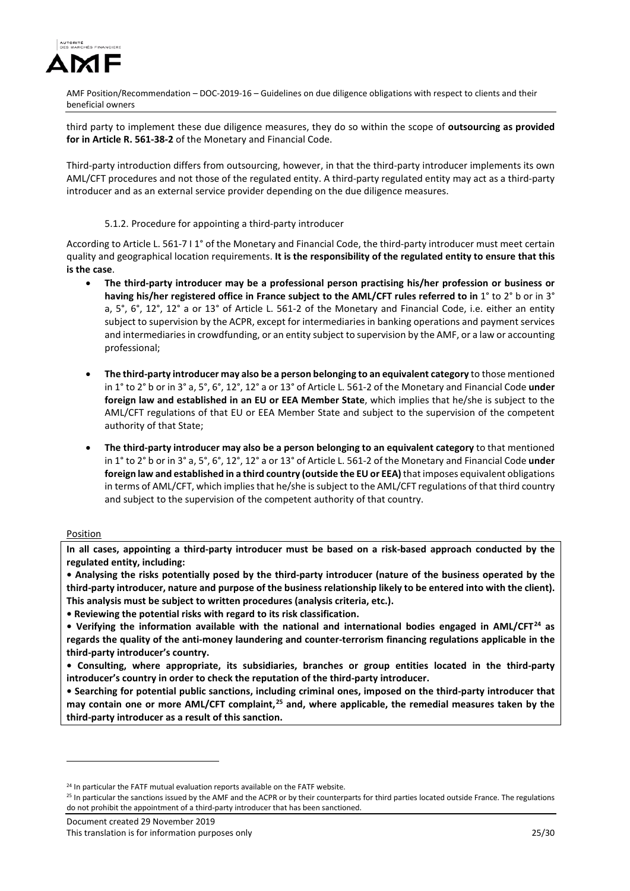

third party to implement these due diligence measures, they do so within the scope of **outsourcing as provided for in Article R. 561-38-2** of the Monetary and Financial Code.

Third-party introduction differs from outsourcing, however, in that the third-party introducer implements its own AML/CFT procedures and not those of the regulated entity. A third-party regulated entity may act as a third-party introducer and as an external service provider depending on the due diligence measures.

5.1.2. Procedure for appointing a third-party introducer

According to Article L. 561-7 I 1° of the Monetary and Financial Code, the third-party introducer must meet certain quality and geographical location requirements. **It is the responsibility of the regulated entity to ensure that this is the case**.

- **The third-party introducer may be a professional person practising his/her profession or business or having his/her registered office in France subject to the AML/CFT rules referred to in** 1° to 2° b or in 3° a, 5°, 6°, 12°, 12° a or 13° of Article L. 561-2 of the Monetary and Financial Code, i.e. either an entity subject to supervision by the ACPR, except for intermediaries in banking operations and payment services and intermediaries in crowdfunding, or an entity subject to supervision by the AMF, or a law or accounting professional;
- **The third-party introducer may also be a person belonging to an equivalent category** to those mentioned in 1° to 2° b or in 3° a, 5°, 6°, 12°, 12° a or 13° of Article L. 561-2 of the Monetary and Financial Code **under foreign law and established in an EU or EEA Member State**, which implies that he/she is subject to the AML/CFT regulations of that EU or EEA Member State and subject to the supervision of the competent authority of that State;
- **The third-party introducer may also be a person belonging to an equivalent category** to that mentioned in 1° to 2° b or in 3° a, 5°, 6°, 12°, 12° a or 13° of Article L. 561-2 of the Monetary and Financial Code **under foreign law and established in a third country (outside the EU or EEA)** that imposes equivalent obligations in terms of AML/CFT, which implies that he/she is subject to the AML/CFT regulations of that third country and subject to the supervision of the competent authority of that country.

### Position

<u>.</u>

**In all cases, appointing a third-party introducer must be based on a risk-based approach conducted by the regulated entity, including:** 

**• Analysing the risks potentially posed by the third-party introducer (nature of the business operated by the third-party introducer, nature and purpose of the business relationship likely to be entered into with the client). This analysis must be subject to written procedures (analysis criteria, etc.).**

**• Reviewing the potential risks with regard to its risk classification.** 

**• Verifying the information available with the national and international bodies engaged in AML/CFT[24](#page-24-0) as regards the quality of the anti-money laundering and counter-terrorism financing regulations applicable in the third-party introducer's country.**

**• Consulting, where appropriate, its subsidiaries, branches or group entities located in the third-party introducer's country in order to check the reputation of the third-party introducer.** 

**• Searching for potential public sanctions, including criminal ones, imposed on the third-party introducer that may contain one or more AML/CFT complaint,[25](#page-24-1) and, where applicable, the remedial measures taken by the third-party introducer as a result of this sanction.**

<span id="page-24-0"></span><sup>&</sup>lt;sup>24</sup> In particular the FATF mutual evaluation reports available on the FATF website.

<span id="page-24-1"></span><sup>&</sup>lt;sup>25</sup> In particular the sanctions issued by the AMF and the ACPR or by their counterparts for third parties located outside France. The regulations do not prohibit the appointment of a third-party introducer that has been sanctioned.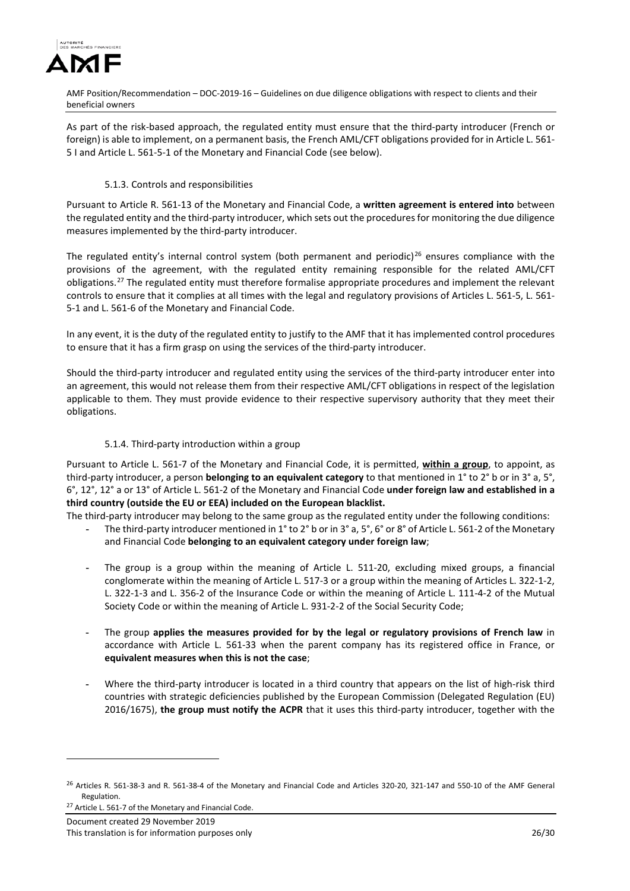

As part of the risk-based approach, the regulated entity must ensure that the third-party introducer (French or foreign) is able to implement, on a permanent basis, the French AML/CFT obligations provided for in Article L. 561- 5 I and Article L. 561-5-1 of the Monetary and Financial Code (see below).

### 5.1.3. Controls and responsibilities

Pursuant to Article R. 561-13 of the Monetary and Financial Code, a **written agreement is entered into** between the regulated entity and the third-party introducer, which sets out the procedures for monitoring the due diligence measures implemented by the third-party introducer.

The regulated entity's internal control system (both permanent and periodic)<sup>[26](#page-25-0)</sup> ensures compliance with the provisions of the agreement, with the regulated entity remaining responsible for the related AML/CFT obligations.[27](#page-25-1) The regulated entity must therefore formalise appropriate procedures and implement the relevant controls to ensure that it complies at all times with the legal and regulatory provisions of Articles L. 561-5, L. 561- 5-1 and L. 561-6 of the Monetary and Financial Code.

In any event, it is the duty of the regulated entity to justify to the AMF that it has implemented control procedures to ensure that it has a firm grasp on using the services of the third-party introducer.

Should the third-party introducer and regulated entity using the services of the third-party introducer enter into an agreement, this would not release them from their respective AML/CFT obligations in respect of the legislation applicable to them. They must provide evidence to their respective supervisory authority that they meet their obligations.

## 5.1.4. Third-party introduction within a group

Pursuant to Article L. 561-7 of the Monetary and Financial Code, it is permitted, **within a group**, to appoint, as third-party introducer, a person **belonging to an equivalent category** to that mentioned in 1° to 2° b or in 3° a, 5°, 6°, 12°, 12° a or 13° of Article L. 561-2 of the Monetary and Financial Code **under foreign law and established in a third country (outside the EU or EEA) included on the European blacklist.** 

The third-party introducer may belong to the same group as the regulated entity under the following conditions:

- **-** The third-party introducer mentioned in 1° to 2° b or in 3° a, 5°, 6° or 8° of Article L. 561-2 of the Monetary and Financial Code **belonging to an equivalent category under foreign law**;
- **-** The group is a group within the meaning of Article [L. 511-20,](https://www.legifrance.gouv.fr/affichCodeArticle.do?cidTexte=LEGITEXT000006072026&idArticle=LEGIARTI000006654332&dateTexte=&categorieLien=cid) excluding mixed groups, a financial conglomerate within the meaning of Article L. 517-3 or a group within the meaning of Article[s L. 322-1-2,](https://www.legifrance.gouv.fr/affichCodeArticle.do?cidTexte=LEGITEXT000006073984&idArticle=LEGIARTI000006797395&dateTexte=&categorieLien=cid)  [L. 322-1-3 a](https://www.legifrance.gouv.fr/affichCodeArticle.do?cidTexte=LEGITEXT000006073984&idArticle=LEGIARTI000006797395&dateTexte=&categorieLien=cid)nd [L. 356-2 o](https://www.legifrance.gouv.fr/affichCodeArticle.do?cidTexte=LEGITEXT000006073984&idArticle=LEGIARTI000030435107&dateTexte=&categorieLien=cid)f the Insurance Code or within the meaning of Article L. 111-4-2 of the Mutual Society Code or within the meaning of Article [L. 931-2-2 o](https://www.legifrance.gouv.fr/affichCodeArticle.do?cidTexte=LEGITEXT000006073189&idArticle=LEGIARTI000030434016&dateTexte=&categorieLien=cid)f the Social Security Code;
- **-** The group **applies the measures provided for by the legal or regulatory provisions of French law** in accordance with Article L. 561-33 when the parent company has its registered office in France, or **equivalent measures when this is not the case**;
- **-** Where the third-party introducer is located in a third country that appears on the list of high-risk third countries with strategic deficiencies published by the European Commission (Delegated Regulation (EU) 2016/1675), **the group must notify the ACPR** that it uses this third-party introducer, together with the

<span id="page-25-1"></span><sup>27</sup> Article L. 561-7 of the Monetary and Financial Code.

<span id="page-25-0"></span><sup>&</sup>lt;sup>26</sup> Articles R. 561-38-3 and R. 561-38-4 of the Monetary and Financial Code and Articles 320-20, 321-147 and 550-10 of the AMF General Regulation.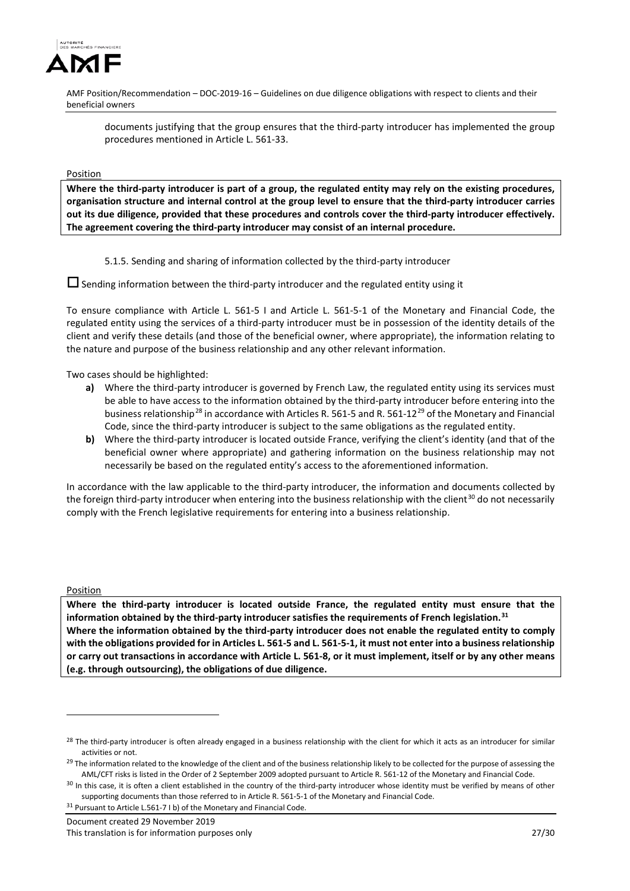

documents justifying that the group ensures that the third-party introducer has implemented the group procedures mentioned in Article L. 561-33.

Position

**Where the third-party introducer is part of a group, the regulated entity may rely on the existing procedures, organisation structure and internal control at the group level to ensure that the third-party introducer carries out its due diligence, provided that these procedures and controls cover the third-party introducer effectively. The agreement covering the third-party introducer may consist of an internal procedure.** 

5.1.5. Sending and sharing of information collected by the third-party introducer

 $\square$  Sending information between the third-party introducer and the regulated entity using it

To ensure compliance with Article L. 561-5 I and Article L. 561-5-1 of the Monetary and Financial Code, the regulated entity using the services of a third-party introducer must be in possession of the identity details of the client and verify these details (and those of the beneficial owner, where appropriate), the information relating to the nature and purpose of the business relationship and any other relevant information.

Two cases should be highlighted:

- **a)** Where the third-party introducer is governed by French Law, the regulated entity using its services must be able to have access to the information obtained by the third-party introducer before entering into the business relationship<sup>[28](#page-26-0)</sup> in accordance with Articles R. 561-5 and R. 561-12<sup>[29](#page-26-1)</sup> of the Monetary and Financial Code, since the third-party introducer is subject to the same obligations as the regulated entity.
- **b)** Where the third-party introducer is located outside France, verifying the client's identity (and that of the beneficial owner where appropriate) and gathering information on the business relationship may not necessarily be based on the regulated entity's access to the aforementioned information.

In accordance with the law applicable to the third-party introducer, the information and documents collected by the foreign third-party introducer when entering into the business relationship with the client<sup>[30](#page-26-2)</sup> do not necessarily comply with the French legislative requirements for entering into a business relationship.

Position

<u>.</u>

**Where the third-party introducer is located outside France, the regulated entity must ensure that the information obtained by the third-party introducer satisfies the requirements of French legislation.[31](#page-26-3) Where the information obtained by the third-party introducer does not enable the regulated entity to comply with the obligations provided for in Articles L. 561-5 and L. 561-5-1, it must not enter into a business relationship or carry out transactions in accordance with Article L. 561-8, or it must implement, itself or by any other means (e.g. through outsourcing), the obligations of due diligence.** 

<span id="page-26-3"></span><sup>31</sup> Pursuant to Article L.561-7 I b) of the Monetary and Financial Code.

<span id="page-26-0"></span> $^{28}$  The third-party introducer is often already engaged in a business relationship with the client for which it acts as an introducer for similar activities or not.

<span id="page-26-1"></span> $^{29}$  The information related to the knowledge of the client and of the business relationship likely to be collected for the purpose of assessing the AML/CFT risks is listed in the Order of 2 September 2009 adopted pursuant to Article R. 561-12 of the Monetary and Financial Code.

<span id="page-26-2"></span><sup>&</sup>lt;sup>30</sup> In this case, it is often a client established in the country of the third-party introducer whose identity must be verified by means of other supporting documents than those referred to in Article R. 561-5-1 of the Monetary and Financial Code.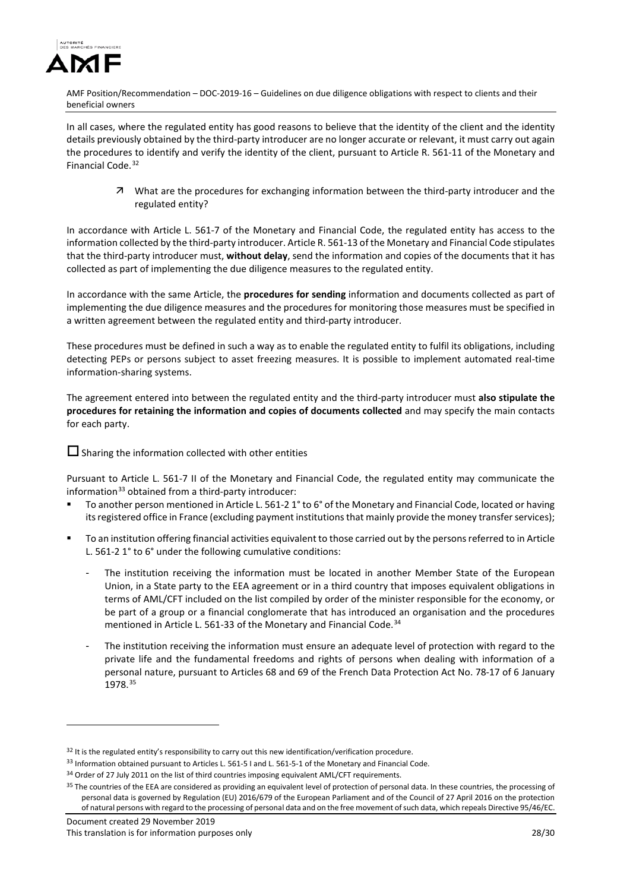

In all cases, where the regulated entity has good reasons to believe that the identity of the client and the identity details previously obtained by the third-party introducer are no longer accurate or relevant, it must carry out again the procedures to identify and verify the identity of the client, pursuant to Article R. 561-11 of the Monetary and Financial Code.<sup>[32](#page-27-0)</sup>

 What are the procedures for exchanging information between the third-party introducer and the regulated entity?

In accordance with Article L. 561-7 of the Monetary and Financial Code, the regulated entity has access to the information collected by the third-party introducer. Article R. 561-13 of the Monetary and Financial Code stipulates that the third-party introducer must, **without delay**, send the information and copies of the documents that it has collected as part of implementing the due diligence measures to the regulated entity.

In accordance with the same Article, the **procedures for sending** information and documents collected as part of implementing the due diligence measures and the procedures for monitoring those measures must be specified in a written agreement between the regulated entity and third-party introducer.

These procedures must be defined in such a way as to enable the regulated entity to fulfil its obligations, including detecting PEPs or persons subject to asset freezing measures. It is possible to implement automated real-time information-sharing systems.

The agreement entered into between the regulated entity and the third-party introducer must **also stipulate the procedures for retaining the information and copies of documents collected** and may specify the main contacts for each party.

 $\square$  Sharing the information collected with other entities

Pursuant to Article L. 561-7 II of the Monetary and Financial Code, the regulated entity may communicate the information<sup>[33](#page-27-1)</sup> obtained from a third-party introducer:

- To another person mentioned in Article L. 561-2 1° to 6° of the Monetary and Financial Code, located or having its registered office in France (excluding payment institutions that mainly provide the money transfer services);
- To an institution offering financial activities equivalent to those carried out by the persons referred to in Article L. 561-2 1° to 6° under the following cumulative conditions:
	- The institution receiving the information must be located in another Member State of the European Union, in a State party to the EEA agreement or in a third country that imposes equivalent obligations in terms of AML/CFT included on the list compiled by order of the minister responsible for the economy, or be part of a group or a financial conglomerate that has introduced an organisation and the procedures mentioned in Article L. 561-33 of the Monetary and Financial Code.<sup>[34](#page-27-2)</sup>
	- The institution receiving the information must ensure an adequate level of protection with regard to the private life and the fundamental freedoms and rights of persons when dealing with information of a personal nature, pursuant to Articles 68 and 69 of the French Data Protection Act No. 78-17 of 6 January 1978.[35](#page-27-3)

<span id="page-27-0"></span><sup>&</sup>lt;sup>32</sup> It is the regulated entity's responsibility to carry out this new identification/verification procedure.

<span id="page-27-1"></span><sup>&</sup>lt;sup>33</sup> Information obtained pursuant to Articles L. 561-5 I and L. 561-5-1 of the Monetary and Financial Code.

<span id="page-27-2"></span><sup>34</sup> Order of 27 July 2011 on the list of third countries imposing equivalent AML/CFT requirements.

<span id="page-27-3"></span><sup>&</sup>lt;sup>35</sup> The countries of the EEA are considered as providing an equivalent level of protection of personal data. In these countries, the processing of personal data is governed by Regulation (EU) 2016/679 of the European Parliament and of the Council of 27 April 2016 on the protection of natural persons with regard to the processing of personal data and on the free movement of such data, which repeals Directive 95/46/EC.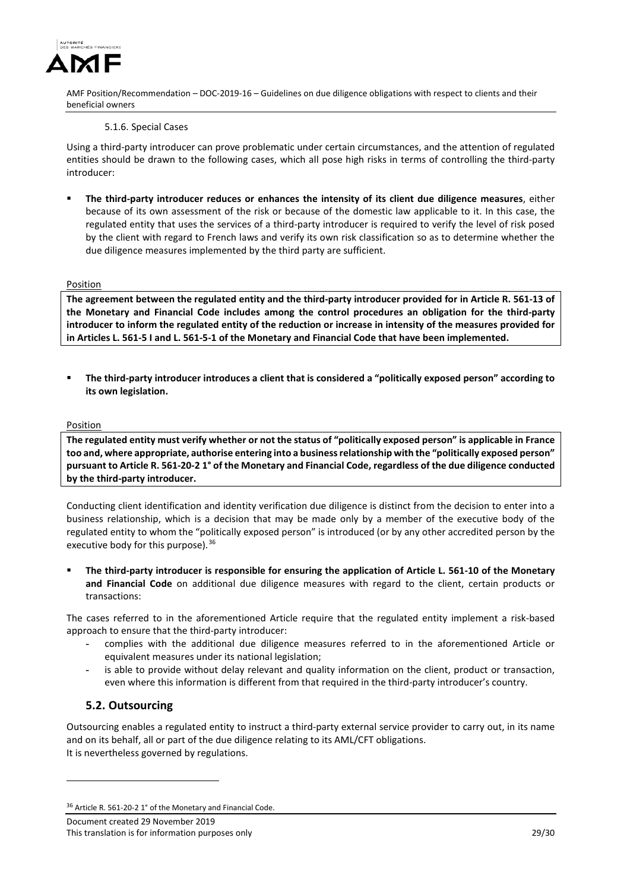

#### 5.1.6. Special Cases

Using a third-party introducer can prove problematic under certain circumstances, and the attention of regulated entities should be drawn to the following cases, which all pose high risks in terms of controlling the third-party introducer:

 **The third-party introducer reduces or enhances the intensity of its client due diligence measures**, either because of its own assessment of the risk or because of the domestic law applicable to it. In this case, the regulated entity that uses the services of a third-party introducer is required to verify the level of risk posed by the client with regard to French laws and verify its own risk classification so as to determine whether the due diligence measures implemented by the third party are sufficient.

Position

**The agreement between the regulated entity and the third-party introducer provided for in Article R. 561-13 of the Monetary and Financial Code includes among the control procedures an obligation for the third-party introducer to inform the regulated entity of the reduction or increase in intensity of the measures provided for in Articles L. 561-5 I and L. 561-5-1 of the Monetary and Financial Code that have been implemented.** 

 **The third-party introducer introduces a client that is considered a "politically exposed person" according to its own legislation.**

#### Position

**The regulated entity must verify whether or not the status of "politically exposed person" is applicable in France too and, where appropriate, authorise entering into a business relationship with the "politically exposed person" pursuant to Article R. 561-20-2 1° of the Monetary and Financial Code, regardless of the due diligence conducted by the third-party introducer.** 

Conducting client identification and identity verification due diligence is distinct from the decision to enter into a business relationship, which is a decision that may be made only by a member of the executive body of the regulated entity to whom the "politically exposed person" is introduced (or by any other accredited person by the executive body for this purpose).<sup>[36](#page-28-0)</sup>

 **The third-party introducer is responsible for ensuring the application of Article L. 561-10 of the Monetary and Financial Code** on additional due diligence measures with regard to the client, certain products or transactions:

The cases referred to in the aforementioned Article require that the regulated entity implement a risk-based approach to ensure that the third-party introducer:

- **-** complies with the additional due diligence measures referred to in the aforementioned Article or equivalent measures under its national legislation;
- **-** is able to provide without delay relevant and quality information on the client, product or transaction, even where this information is different from that required in the third-party introducer's country.

## **5.2. Outsourcing**

<u>.</u>

Outsourcing enables a regulated entity to instruct a third-party external service provider to carry out, in its name and on its behalf, all or part of the due diligence relating to its AML/CFT obligations. It is nevertheless governed by regulations.

<span id="page-28-0"></span><sup>36</sup> Article R. 561-20-2 1° of the Monetary and Financial Code.